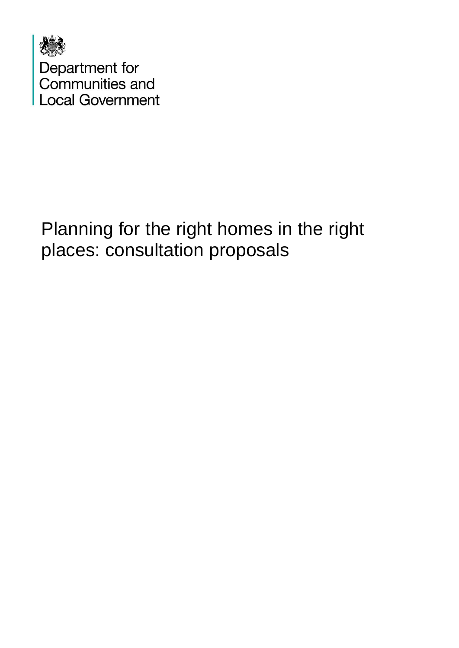

# Planning for the right homes in the right places: consultation proposals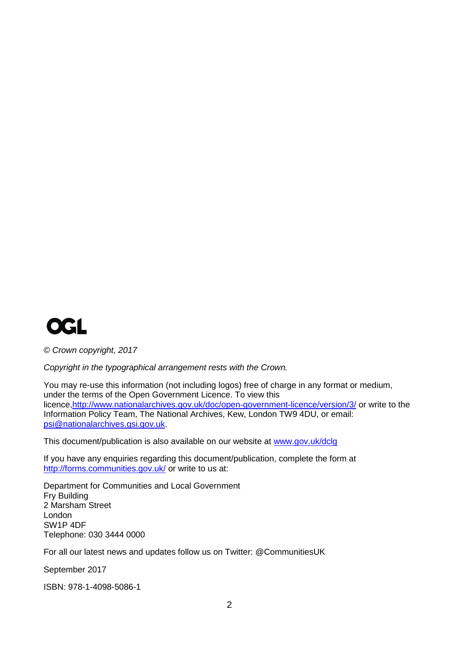

*© Crown copyright, 2017*

*Copyright in the typographical arrangement rests with the Crown.*

You may re-use this information (not including logos) free of charge in any format or medium, under the terms of the Open Government Licence. To view this licence[,http://www.nationalarchives.gov.uk/doc/open-government-licence/version/3/](http://www.nationalarchives.gov.uk/doc/open-government-licence/version/3/) or write to the Information Policy Team, The National Archives, Kew, London TW9 4DU, or email: [psi@nationalarchives.gsi.gov.uk.](mailto:psi@nationalarchives.gsi.gov.uk)

This document/publication is also available on our website at [www.gov.uk/dclg](http://www.gov.uk/dclg)

If you have any enquiries regarding this document/publication, complete the form at <http://forms.communities.gov.uk/> or write to us at:

Department for Communities and Local Government Fry Building 2 Marsham Street London SW1P 4DF Telephone: 030 3444 0000

For all our latest news and updates follow us on Twitter: @CommunitiesUK

September 2017

ISBN: 978-1-4098-5086-1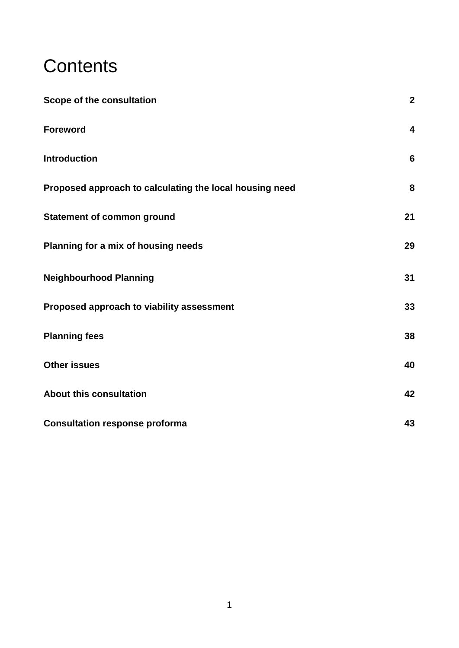# **Contents**

| Scope of the consultation                               | $\mathbf{2}$            |
|---------------------------------------------------------|-------------------------|
| <b>Foreword</b>                                         | $\overline{\mathbf{4}}$ |
| <b>Introduction</b>                                     | $6\phantom{1}$          |
| Proposed approach to calculating the local housing need | 8                       |
| <b>Statement of common ground</b>                       | 21                      |
| Planning for a mix of housing needs                     | 29                      |
| <b>Neighbourhood Planning</b>                           | 31                      |
| Proposed approach to viability assessment               | 33                      |
| <b>Planning fees</b>                                    | 38                      |
| <b>Other issues</b>                                     | 40                      |
| <b>About this consultation</b>                          | 42                      |
| <b>Consultation response proforma</b>                   | 43                      |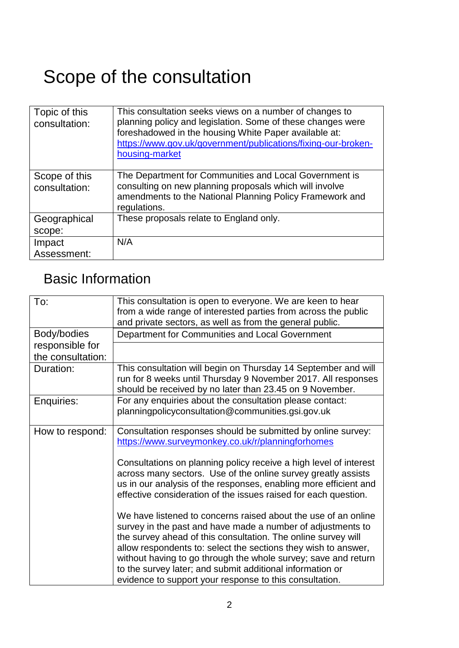# <span id="page-3-0"></span>Scope of the consultation

| Topic of this<br>consultation: | This consultation seeks views on a number of changes to<br>planning policy and legislation. Some of these changes were<br>foreshadowed in the housing White Paper available at:<br>https://www.gov.uk/government/publications/fixing-our-broken-<br>housing-market |
|--------------------------------|--------------------------------------------------------------------------------------------------------------------------------------------------------------------------------------------------------------------------------------------------------------------|
| Scope of this<br>consultation: | The Department for Communities and Local Government is<br>consulting on new planning proposals which will involve<br>amendments to the National Planning Policy Framework and<br>regulations.                                                                      |
| Geographical                   | These proposals relate to England only.                                                                                                                                                                                                                            |
| scope:                         |                                                                                                                                                                                                                                                                    |
| Impact                         | N/A                                                                                                                                                                                                                                                                |
| Assessment:                    |                                                                                                                                                                                                                                                                    |

# Basic Information

| To:               | This consultation is open to everyone. We are keen to hear<br>from a wide range of interested parties from across the public<br>and private sectors, as well as from the general public.                                                                                                                                                                                                                                                                   |
|-------------------|------------------------------------------------------------------------------------------------------------------------------------------------------------------------------------------------------------------------------------------------------------------------------------------------------------------------------------------------------------------------------------------------------------------------------------------------------------|
| Body/bodies       | Department for Communities and Local Government                                                                                                                                                                                                                                                                                                                                                                                                            |
| responsible for   |                                                                                                                                                                                                                                                                                                                                                                                                                                                            |
| the consultation: |                                                                                                                                                                                                                                                                                                                                                                                                                                                            |
| Duration:         | This consultation will begin on Thursday 14 September and will<br>run for 8 weeks until Thursday 9 November 2017. All responses<br>should be received by no later than 23.45 on 9 November.                                                                                                                                                                                                                                                                |
| Enquiries:        | For any enquiries about the consultation please contact:                                                                                                                                                                                                                                                                                                                                                                                                   |
|                   | planningpolicyconsultation@communities.gsi.gov.uk                                                                                                                                                                                                                                                                                                                                                                                                          |
| How to respond:   | Consultation responses should be submitted by online survey:<br>https://www.surveymonkey.co.uk/r/planningforhomes                                                                                                                                                                                                                                                                                                                                          |
|                   | Consultations on planning policy receive a high level of interest<br>across many sectors. Use of the online survey greatly assists<br>us in our analysis of the responses, enabling more efficient and<br>effective consideration of the issues raised for each question.                                                                                                                                                                                  |
|                   | We have listened to concerns raised about the use of an online<br>survey in the past and have made a number of adjustments to<br>the survey ahead of this consultation. The online survey will<br>allow respondents to: select the sections they wish to answer,<br>without having to go through the whole survey; save and return<br>to the survey later; and submit additional information or<br>evidence to support your response to this consultation. |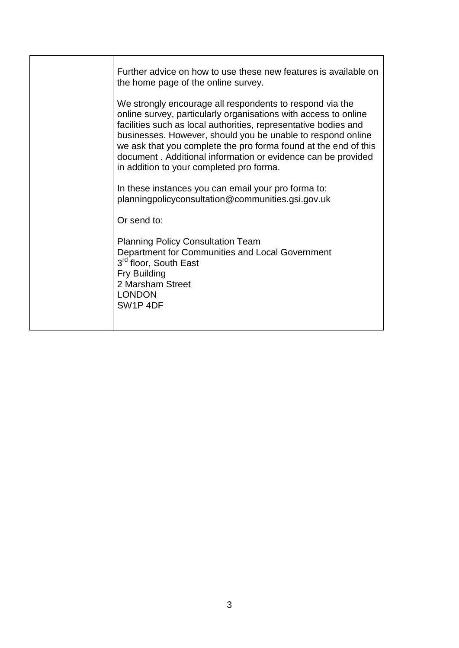| Further advice on how to use these new features is available on<br>the home page of the online survey.                                                                                                                                                                                                                                                                                                                                       |
|----------------------------------------------------------------------------------------------------------------------------------------------------------------------------------------------------------------------------------------------------------------------------------------------------------------------------------------------------------------------------------------------------------------------------------------------|
| We strongly encourage all respondents to respond via the<br>online survey, particularly organisations with access to online<br>facilities such as local authorities, representative bodies and<br>businesses. However, should you be unable to respond online<br>we ask that you complete the pro forma found at the end of this<br>document. Additional information or evidence can be provided<br>in addition to your completed pro forma. |
| In these instances you can email your pro forma to:<br>planningpolicyconsultation@communities.gsi.gov.uk                                                                                                                                                                                                                                                                                                                                     |
| Or send to:                                                                                                                                                                                                                                                                                                                                                                                                                                  |
| <b>Planning Policy Consultation Team</b><br>Department for Communities and Local Government<br>3 <sup>rd</sup> floor, South East<br>Fry Building<br>2 Marsham Street<br><b>LONDON</b><br>SW <sub>1</sub> P <sub>4</sub> DF                                                                                                                                                                                                                   |
|                                                                                                                                                                                                                                                                                                                                                                                                                                              |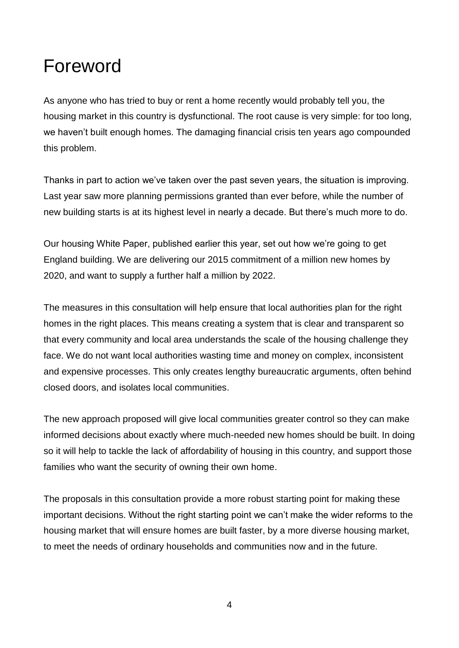# <span id="page-5-0"></span>Foreword

As anyone who has tried to buy or rent a home recently would probably tell you, the housing market in this country is dysfunctional. The root cause is very simple: for too long, we haven't built enough homes. The damaging financial crisis ten years ago compounded this problem.

Thanks in part to action we've taken over the past seven years, the situation is improving. Last year saw more planning permissions granted than ever before, while the number of new building starts is at its highest level in nearly a decade. But there's much more to do.

Our housing White Paper, published earlier this year, set out how we're going to get England building. We are delivering our 2015 commitment of a million new homes by 2020, and want to supply a further half a million by 2022.

The measures in this consultation will help ensure that local authorities plan for the right homes in the right places. This means creating a system that is clear and transparent so that every community and local area understands the scale of the housing challenge they face. We do not want local authorities wasting time and money on complex, inconsistent and expensive processes. This only creates lengthy bureaucratic arguments, often behind closed doors, and isolates local communities.

The new approach proposed will give local communities greater control so they can make informed decisions about exactly where much-needed new homes should be built. In doing so it will help to tackle the lack of affordability of housing in this country, and support those families who want the security of owning their own home.

The proposals in this consultation provide a more robust starting point for making these important decisions. Without the right starting point we can't make the wider reforms to the housing market that will ensure homes are built faster, by a more diverse housing market, to meet the needs of ordinary households and communities now and in the future.

4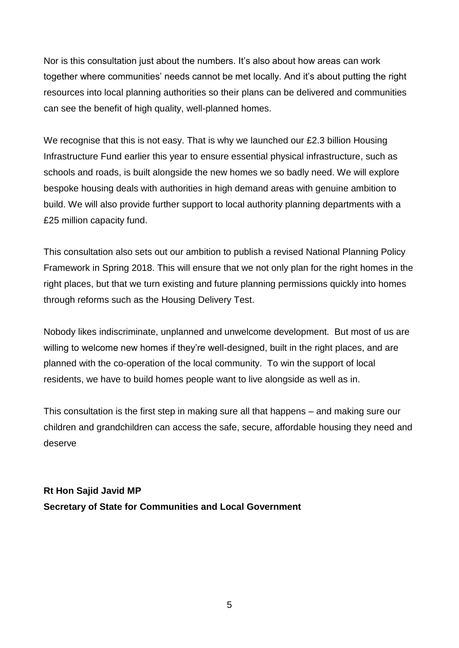Nor is this consultation just about the numbers. It's also about how areas can work together where communities' needs cannot be met locally. And it's about putting the right resources into local planning authorities so their plans can be delivered and communities can see the benefit of high quality, well-planned homes.

We recognise that this is not easy. That is why we launched our £2.3 billion Housing Infrastructure Fund earlier this year to ensure essential physical infrastructure, such as schools and roads, is built alongside the new homes we so badly need. We will explore bespoke housing deals with authorities in high demand areas with genuine ambition to build. We will also provide further support to local authority planning departments with a £25 million capacity fund.

This consultation also sets out our ambition to publish a revised National Planning Policy Framework in Spring 2018. This will ensure that we not only plan for the right homes in the right places, but that we turn existing and future planning permissions quickly into homes through reforms such as the Housing Delivery Test.

Nobody likes indiscriminate, unplanned and unwelcome development. But most of us are willing to welcome new homes if they're well-designed, built in the right places, and are planned with the co-operation of the local community. To win the support of local residents, we have to build homes people want to live alongside as well as in.

This consultation is the first step in making sure all that happens – and making sure our children and grandchildren can access the safe, secure, affordable housing they need and deserve

**Rt Hon Sajid Javid MP Secretary of State for Communities and Local Government**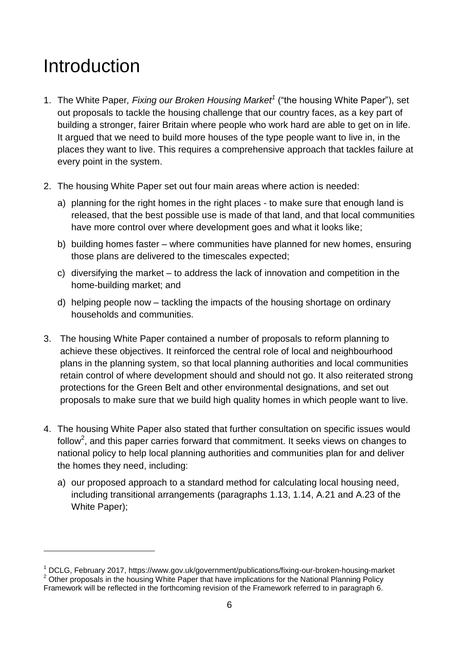# <span id="page-7-0"></span>Introduction

1

- 1. The White Paper*, Fixing our Broken Housing Market<sup>1</sup>* ("the housing White Paper"), set out proposals to tackle the housing challenge that our country faces, as a key part of building a stronger, fairer Britain where people who work hard are able to get on in life. It argued that we need to build more houses of the type people want to live in, in the places they want to live. This requires a comprehensive approach that tackles failure at every point in the system.
- 2. The housing White Paper set out four main areas where action is needed:
	- a) planning for the right homes in the right places to make sure that enough land is released, that the best possible use is made of that land, and that local communities have more control over where development goes and what it looks like;
	- b) building homes faster where communities have planned for new homes, ensuring those plans are delivered to the timescales expected;
	- c) diversifying the market to address the lack of innovation and competition in the home-building market; and
	- d) helping people now tackling the impacts of the housing shortage on ordinary households and communities.
- 3. The housing White Paper contained a number of proposals to reform planning to achieve these objectives. It reinforced the central role of local and neighbourhood plans in the planning system, so that local planning authorities and local communities retain control of where development should and should not go. It also reiterated strong protections for the Green Belt and other environmental designations, and set out proposals to make sure that we build high quality homes in which people want to live.
- 4. The housing White Paper also stated that further consultation on specific issues would follow<sup>2</sup>, and this paper carries forward that commitment. It seeks views on changes to national policy to help local planning authorities and communities plan for and deliver the homes they need, including:
	- a) our proposed approach to a standard method for calculating local housing need, including transitional arrangements (paragraphs 1.13, 1.14, A.21 and A.23 of the White Paper);

<sup>1</sup> DCLG, February 2017, https://www.gov.uk/government/publications/fixing-our-broken-housing-market  $2$  Other proposals in the housing White Paper that have implications for the National Planning Policy Framework will be reflected in the forthcoming revision of the Framework referred to in paragraph 6.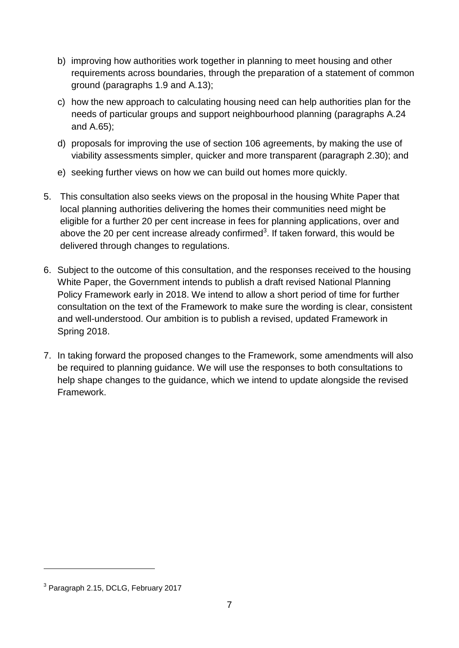- b) improving how authorities work together in planning to meet housing and other requirements across boundaries, through the preparation of a statement of common ground (paragraphs 1.9 and A.13);
- c) how the new approach to calculating housing need can help authorities plan for the needs of particular groups and support neighbourhood planning (paragraphs A.24 and A.65);
- d) proposals for improving the use of section 106 agreements, by making the use of viability assessments simpler, quicker and more transparent (paragraph 2.30); and
- e) seeking further views on how we can build out homes more quickly.
- 5. This consultation also seeks views on the proposal in the housing White Paper that local planning authorities delivering the homes their communities need might be eligible for a further 20 per cent increase in fees for planning applications, over and above the 20 per cent increase already confirmed<sup>3</sup>. If taken forward, this would be delivered through changes to regulations.
- 6. Subject to the outcome of this consultation, and the responses received to the housing White Paper, the Government intends to publish a draft revised National Planning Policy Framework early in 2018. We intend to allow a short period of time for further consultation on the text of the Framework to make sure the wording is clear, consistent and well-understood. Our ambition is to publish a revised, updated Framework in Spring 2018.
- 7. In taking forward the proposed changes to the Framework, some amendments will also be required to planning guidance. We will use the responses to both consultations to help shape changes to the guidance, which we intend to update alongside the revised Framework.

1

<sup>&</sup>lt;sup>3</sup> Paragraph 2.15, DCLG, February 2017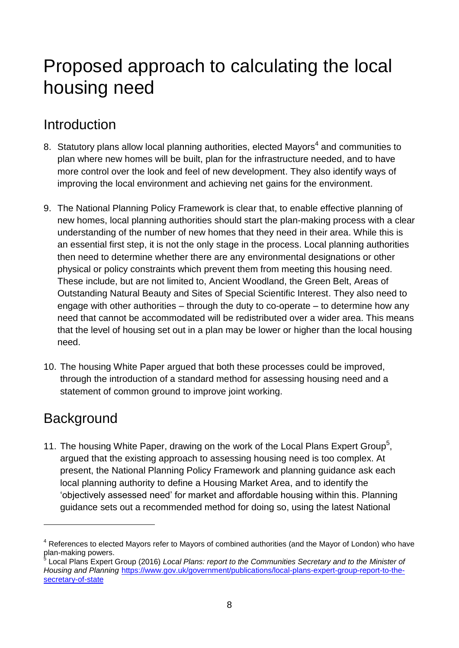# <span id="page-9-0"></span>Proposed approach to calculating the local housing need

# Introduction

- 8. Statutory plans allow local planning authorities, elected Mayors<sup>4</sup> and communities to plan where new homes will be built, plan for the infrastructure needed, and to have more control over the look and feel of new development. They also identify ways of improving the local environment and achieving net gains for the environment.
- 9. The National Planning Policy Framework is clear that, to enable effective planning of new homes, local planning authorities should start the plan-making process with a clear understanding of the number of new homes that they need in their area. While this is an essential first step, it is not the only stage in the process. Local planning authorities then need to determine whether there are any environmental designations or other physical or policy constraints which prevent them from meeting this housing need. These include, but are not limited to, Ancient Woodland, the Green Belt, Areas of Outstanding Natural Beauty and Sites of Special Scientific Interest. They also need to engage with other authorities – through the duty to co-operate – to determine how any need that cannot be accommodated will be redistributed over a wider area. This means that the level of housing set out in a plan may be lower or higher than the local housing need.
- 10. The housing White Paper argued that both these processes could be improved, through the introduction of a standard method for assessing housing need and a statement of common ground to improve joint working.

# **Background**

<u>.</u>

11. The housing White Paper, drawing on the work of the Local Plans Expert Group<sup>5</sup>, argued that the existing approach to assessing housing need is too complex. At present, the National Planning Policy Framework and planning guidance ask each local planning authority to define a Housing Market Area, and to identify the 'objectively assessed need' for market and affordable housing within this. Planning guidance sets out a recommended method for doing so, using the latest National

<sup>4</sup> References to elected Mayors refer to Mayors of combined authorities (and the Mayor of London) who have plan-making powers.

<sup>5</sup> Local Plans Expert Group (2016) *Local Plans: report to the Communities Secretary and to the Minister of Housing and Planning* [https://www.gov.uk/government/publications/local-plans-expert-group-report-to-the](https://www.gov.uk/government/publications/local-plans-expert-group-report-to-the-secretary-of-state)[secretary-of-state](https://www.gov.uk/government/publications/local-plans-expert-group-report-to-the-secretary-of-state)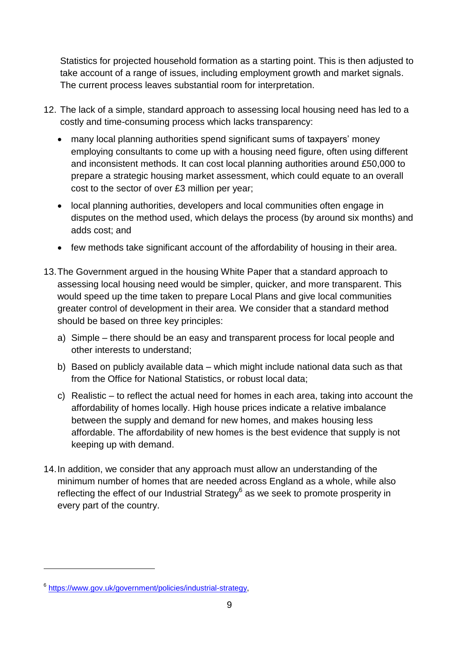Statistics for projected household formation as a starting point. This is then adjusted to take account of a range of issues, including employment growth and market signals. The current process leaves substantial room for interpretation.

- 12. The lack of a simple, standard approach to assessing local housing need has led to a costly and time-consuming process which lacks transparency:
	- many local planning authorities spend significant sums of taxpayers' money employing consultants to come up with a housing need figure, often using different and inconsistent methods. It can cost local planning authorities around £50,000 to prepare a strategic housing market assessment, which could equate to an overall cost to the sector of over £3 million per year;
	- local planning authorities, developers and local communities often engage in disputes on the method used, which delays the process (by around six months) and adds cost; and
	- few methods take significant account of the affordability of housing in their area.
- 13.The Government argued in the housing White Paper that a standard approach to assessing local housing need would be simpler, quicker, and more transparent. This would speed up the time taken to prepare Local Plans and give local communities greater control of development in their area. We consider that a standard method should be based on three key principles:
	- a) Simple there should be an easy and transparent process for local people and other interests to understand;
	- b) Based on publicly available data which might include national data such as that from the Office for National Statistics, or robust local data;
	- c) Realistic to reflect the actual need for homes in each area, taking into account the affordability of homes locally. High house prices indicate a relative imbalance between the supply and demand for new homes, and makes housing less affordable. The affordability of new homes is the best evidence that supply is not keeping up with demand.
- 14.In addition, we consider that any approach must allow an understanding of the minimum number of homes that are needed across England as a whole, while also reflecting the effect of our Industrial Strategy $^6$  as we seek to promote prosperity in every part of the country.

1

<sup>6</sup> [https://www.gov.uk/government/policies/industrial-strategy,](https://www.gov.uk/government/policies/industrial-strategy)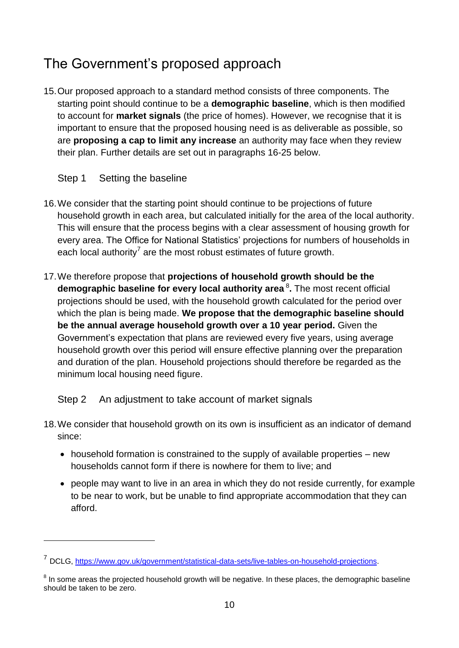# The Government's proposed approach

15.Our proposed approach to a standard method consists of three components. The starting point should continue to be a **demographic baseline**, which is then modified to account for **market signals** (the price of homes). However, we recognise that it is important to ensure that the proposed housing need is as deliverable as possible, so are **proposing a cap to limit any increase** an authority may face when they review their plan. Further details are set out in paragraphs 16-25 below.

## Step 1 Setting the baseline

<u>.</u>

- 16.We consider that the starting point should continue to be projections of future household growth in each area, but calculated initially for the area of the local authority. This will ensure that the process begins with a clear assessment of housing growth for every area. The Office for National Statistics' projections for numbers of households in each local authority<sup>7</sup> are the most robust estimates of future growth.
- 17.We therefore propose that **projections of household growth should be the demographic baseline for every local authority area** <sup>8</sup> **.** The most recent official projections should be used, with the household growth calculated for the period over which the plan is being made. **We propose that the demographic baseline should be the annual average household growth over a 10 year period.** Given the Government's expectation that plans are reviewed every five years, using average household growth over this period will ensure effective planning over the preparation and duration of the plan. Household projections should therefore be regarded as the minimum local housing need figure.

## Step 2 An adjustment to take account of market signals

- 18.We consider that household growth on its own is insufficient as an indicator of demand since:
	- household formation is constrained to the supply of available properties new households cannot form if there is nowhere for them to live; and
	- people may want to live in an area in which they do not reside currently, for example to be near to work, but be unable to find appropriate accommodation that they can afford.

<sup>&</sup>lt;sup>7</sup> DCLG, [https://www.gov.uk/government/statistical-data-sets/live-tables-on-household-projections.](https://www.gov.uk/government/statistical-data-sets/live-tables-on-household-projections)

 $8$  In some areas the projected household growth will be negative. In these places, the demographic baseline should be taken to be zero.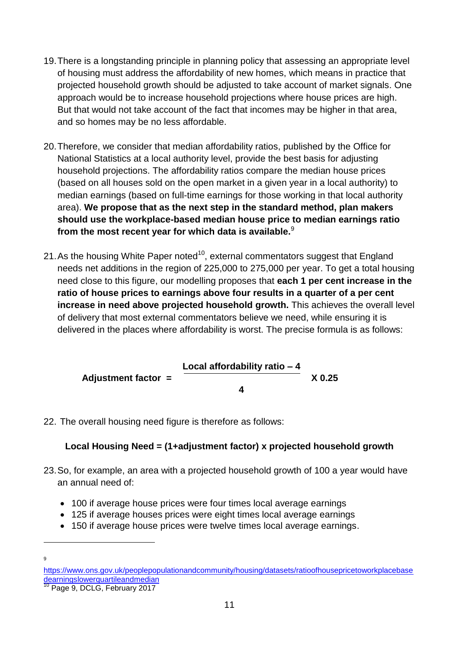- 19.There is a longstanding principle in planning policy that assessing an appropriate level of housing must address the affordability of new homes, which means in practice that projected household growth should be adjusted to take account of market signals. One approach would be to increase household projections where house prices are high. But that would not take account of the fact that incomes may be higher in that area, and so homes may be no less affordable.
- 20.Therefore, we consider that median affordability ratios, published by the Office for National Statistics at a local authority level, provide the best basis for adjusting household projections. The affordability ratios compare the median house prices (based on all houses sold on the open market in a given year in a local authority) to median earnings (based on full-time earnings for those working in that local authority area). **We propose that as the next step in the standard method, plan makers should use the workplace-based median house price to median earnings ratio from the most recent year for which data is available.**<sup>9</sup>
- 21. As the housing White Paper noted<sup>10</sup>, external commentators suggest that England needs net additions in the region of 225,000 to 275,000 per year. To get a total housing need close to this figure, our modelling proposes that **each 1 per cent increase in the ratio of house prices to earnings above four results in a quarter of a per cent increase in need above projected household growth.** This achieves the overall level of delivery that most external commentators believe we need, while ensuring it is delivered in the places where affordability is worst. The precise formula is as follows:

Adjustment factor =

\n
$$
\frac{\text{Local affordability ratio} - 4}{4} \times 0.25
$$

22. The overall housing need figure is therefore as follows:

### **Local Housing Need = (1+adjustment factor) x projected household growth**

- 23.So, for example, an area with a projected household growth of 100 a year would have an annual need of:
	- 100 if average house prices were four times local average earnings
	- 125 if average houses prices were eight times local average earnings
	- 150 if average house prices were twelve times local average earnings.

 $\alpha$ 

1

[https://www.ons.gov.uk/peoplepopulationandcommunity/housing/datasets/ratioofhousepricetoworkplacebase](https://www.ons.gov.uk/peoplepopulationandcommunity/housing/datasets/ratioofhousepricetoworkplacebasedearningslowerquartileandmedian) [dearningslowerquartileandmedian](https://www.ons.gov.uk/peoplepopulationandcommunity/housing/datasets/ratioofhousepricetoworkplacebasedearningslowerquartileandmedian)

<sup>10</sup> Page 9, DCLG, February 2017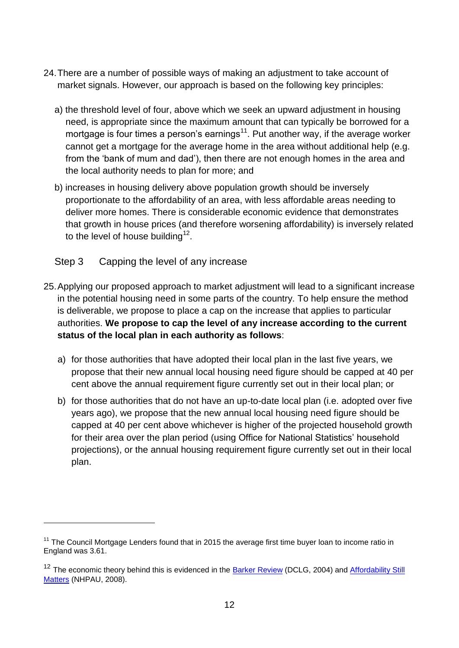- 24.There are a number of possible ways of making an adjustment to take account of market signals. However, our approach is based on the following key principles:
	- a) the threshold level of four, above which we seek an upward adjustment in housing need, is appropriate since the maximum amount that can typically be borrowed for a mortgage is four times a person's earnings $11$ . Put another way, if the average worker cannot get a mortgage for the average home in the area without additional help (e.g. from the 'bank of mum and dad'), then there are not enough homes in the area and the local authority needs to plan for more; and
	- b) increases in housing delivery above population growth should be inversely proportionate to the affordability of an area, with less affordable areas needing to deliver more homes. There is considerable economic evidence that demonstrates that growth in house prices (and therefore worsening affordability) is inversely related to the level of house building<sup>12</sup>.
	- Step 3 Capping the level of any increase

1

- 25.Applying our proposed approach to market adjustment will lead to a significant increase in the potential housing need in some parts of the country. To help ensure the method is deliverable, we propose to place a cap on the increase that applies to particular authorities. **We propose to cap the level of any increase according to the current status of the local plan in each authority as follows**:
	- a) for those authorities that have adopted their local plan in the last five years, we propose that their new annual local housing need figure should be capped at 40 per cent above the annual requirement figure currently set out in their local plan; or
	- b) for those authorities that do not have an up-to-date local plan (i.e. adopted over five years ago), we propose that the new annual local housing need figure should be capped at 40 per cent above whichever is higher of the projected household growth for their area over the plan period (using Office for National Statistics' household projections), or the annual housing requirement figure currently set out in their local plan.

 $11$  The Council Mortgage Lenders found that in 2015 the average first time buyer loan to income ratio in England was 3.61.

<sup>&</sup>lt;sup>12</sup> The economic theory behind this is evidenced in the **Barker Review** (DCLG, 2004) and **Affordability Still** [Matters](http://webarchive.nationalarchives.gov.uk/20081214215740/http:/www.communities.gov.uk/documents/507390/pdf/867681.pdf) (NHPAU, 2008).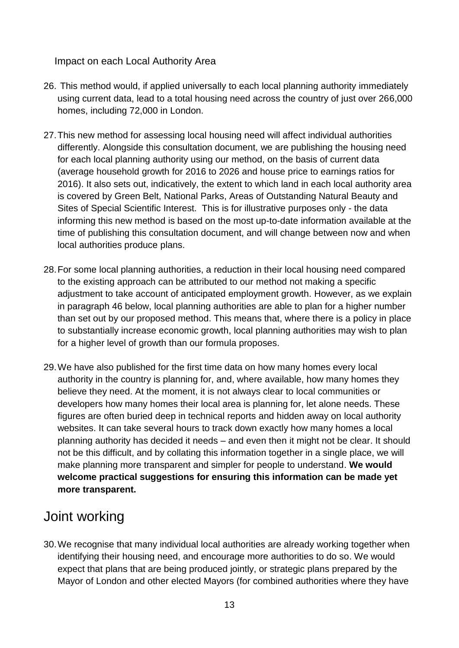Impact on each Local Authority Area

- 26. This method would, if applied universally to each local planning authority immediately using current data, lead to a total housing need across the country of just over 266,000 homes, including 72,000 in London.
- 27.This new method for assessing local housing need will affect individual authorities differently. Alongside this consultation document, we are publishing the housing need for each local planning authority using our method, on the basis of current data (average household growth for 2016 to 2026 and house price to earnings ratios for 2016). It also sets out, indicatively, the extent to which land in each local authority area is covered by Green Belt, National Parks, Areas of Outstanding Natural Beauty and Sites of Special Scientific Interest. This is for illustrative purposes only - the data informing this new method is based on the most up-to-date information available at the time of publishing this consultation document, and will change between now and when local authorities produce plans.
- 28.For some local planning authorities, a reduction in their local housing need compared to the existing approach can be attributed to our method not making a specific adjustment to take account of anticipated employment growth. However, as we explain in paragraph 46 below, local planning authorities are able to plan for a higher number than set out by our proposed method. This means that, where there is a policy in place to substantially increase economic growth, local planning authorities may wish to plan for a higher level of growth than our formula proposes.
- 29.We have also published for the first time data on how many homes every local authority in the country is planning for, and, where available, how many homes they believe they need. At the moment, it is not always clear to local communities or developers how many homes their local area is planning for, let alone needs. These figures are often buried deep in technical reports and hidden away on local authority websites. It can take several hours to track down exactly how many homes a local planning authority has decided it needs – and even then it might not be clear. It should not be this difficult, and by collating this information together in a single place, we will make planning more transparent and simpler for people to understand. **We would welcome practical suggestions for ensuring this information can be made yet more transparent.**

# Joint working

30.We recognise that many individual local authorities are already working together when identifying their housing need, and encourage more authorities to do so. We would expect that plans that are being produced jointly, or strategic plans prepared by the Mayor of London and other elected Mayors (for combined authorities where they have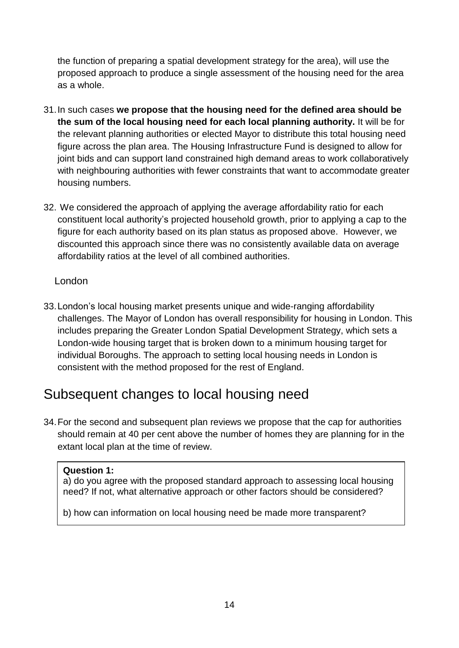the function of preparing a spatial development strategy for the area), will use the proposed approach to produce a single assessment of the housing need for the area as a whole.

- 31.In such cases **we propose that the housing need for the defined area should be the sum of the local housing need for each local planning authority.** It will be for the relevant planning authorities or elected Mayor to distribute this total housing need figure across the plan area. The Housing Infrastructure Fund is designed to allow for joint bids and can support land constrained high demand areas to work collaboratively with neighbouring authorities with fewer constraints that want to accommodate greater housing numbers.
- 32. We considered the approach of applying the average affordability ratio for each constituent local authority's projected household growth, prior to applying a cap to the figure for each authority based on its plan status as proposed above. However, we discounted this approach since there was no consistently available data on average affordability ratios at the level of all combined authorities.

## London

33.London's local housing market presents unique and wide-ranging affordability challenges. The Mayor of London has overall responsibility for housing in London. This includes preparing the Greater London Spatial Development Strategy, which sets a London-wide housing target that is broken down to a minimum housing target for individual Boroughs. The approach to setting local housing needs in London is consistent with the method proposed for the rest of England.

# Subsequent changes to local housing need

34.For the second and subsequent plan reviews we propose that the cap for authorities should remain at 40 per cent above the number of homes they are planning for in the extant local plan at the time of review.

## **Question 1:**

a) do you agree with the proposed standard approach to assessing local housing need? If not, what alternative approach or other factors should be considered?

b) how can information on local housing need be made more transparent?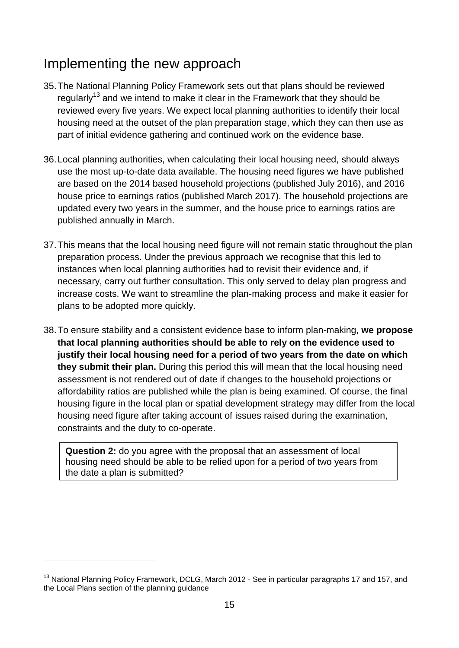# Implementing the new approach

- 35.The National Planning Policy Framework sets out that plans should be reviewed regularly<sup>13</sup> and we intend to make it clear in the Framework that they should be reviewed every five years. We expect local planning authorities to identify their local housing need at the outset of the plan preparation stage, which they can then use as part of initial evidence gathering and continued work on the evidence base.
- 36.Local planning authorities, when calculating their local housing need, should always use the most up-to-date data available. The housing need figures we have published are based on the 2014 based household projections (published July 2016), and 2016 house price to earnings ratios (published March 2017). The household projections are updated every two years in the summer, and the house price to earnings ratios are published annually in March.
- 37.This means that the local housing need figure will not remain static throughout the plan preparation process. Under the previous approach we recognise that this led to instances when local planning authorities had to revisit their evidence and, if necessary, carry out further consultation. This only served to delay plan progress and increase costs. We want to streamline the plan-making process and make it easier for plans to be adopted more quickly.
- 38.To ensure stability and a consistent evidence base to inform plan-making, **we propose that local planning authorities should be able to rely on the evidence used to justify their local housing need for a period of two years from the date on which they submit their plan.** During this period this will mean that the local housing need assessment is not rendered out of date if changes to the household projections or affordability ratios are published while the plan is being examined. Of course, the final housing figure in the local plan or spatial development strategy may differ from the local housing need figure after taking account of issues raised during the examination, constraints and the duty to co-operate.

**Question 2:** do you agree with the proposal that an assessment of local housing need should be able to be relied upon for a period of two years from the date a plan is submitted?

1

<sup>&</sup>lt;sup>13</sup> National Planning Policy Framework, DCLG, March 2012 - See in particular paragraphs 17 and 157, and the Local Plans section of the planning guidance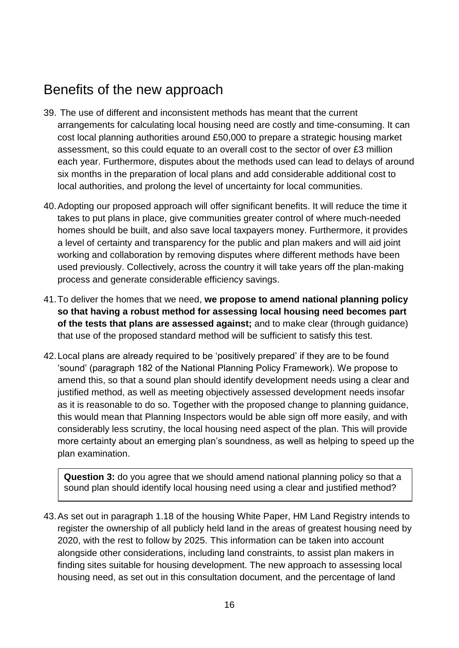# Benefits of the new approach

- 39. The use of different and inconsistent methods has meant that the current arrangements for calculating local housing need are costly and time-consuming. It can cost local planning authorities around £50,000 to prepare a strategic housing market assessment, so this could equate to an overall cost to the sector of over £3 million each year. Furthermore, disputes about the methods used can lead to delays of around six months in the preparation of local plans and add considerable additional cost to local authorities, and prolong the level of uncertainty for local communities.
- 40.Adopting our proposed approach will offer significant benefits. It will reduce the time it takes to put plans in place, give communities greater control of where much-needed homes should be built, and also save local taxpayers money. Furthermore, it provides a level of certainty and transparency for the public and plan makers and will aid joint working and collaboration by removing disputes where different methods have been used previously. Collectively, across the country it will take years off the plan-making process and generate considerable efficiency savings.
- 41.To deliver the homes that we need, **we propose to amend national planning policy so that having a robust method for assessing local housing need becomes part of the tests that plans are assessed against;** and to make clear (through guidance) that use of the proposed standard method will be sufficient to satisfy this test.
- 42.Local plans are already required to be 'positively prepared' if they are to be found 'sound' (paragraph 182 of the National Planning Policy Framework). We propose to amend this, so that a sound plan should identify development needs using a clear and justified method, as well as meeting objectively assessed development needs insofar as it is reasonable to do so. Together with the proposed change to planning guidance, this would mean that Planning Inspectors would be able sign off more easily, and with considerably less scrutiny, the local housing need aspect of the plan. This will provide more certainty about an emerging plan's soundness, as well as helping to speed up the plan examination.

**Question 3:** do you agree that we should amend national planning policy so that a sound plan should identify local housing need using a clear and justified method?

43.As set out in paragraph 1.18 of the housing White Paper, HM Land Registry intends to register the ownership of all publicly held land in the areas of greatest housing need by 2020, with the rest to follow by 2025. This information can be taken into account alongside other considerations, including land constraints, to assist plan makers in finding sites suitable for housing development. The new approach to assessing local housing need, as set out in this consultation document, and the percentage of land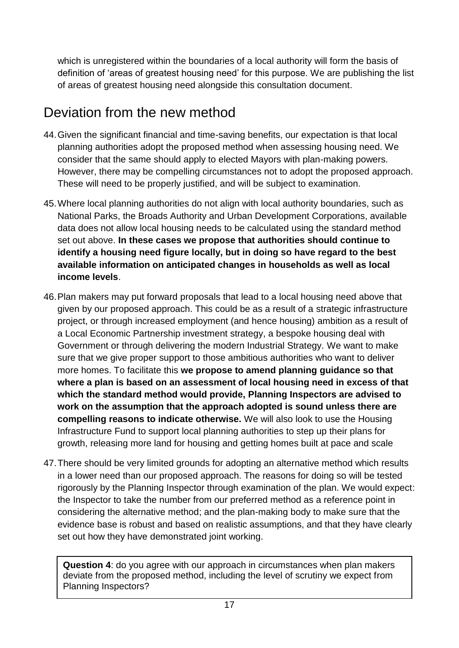which is unregistered within the boundaries of a local authority will form the basis of definition of 'areas of greatest housing need' for this purpose. We are publishing the list of areas of greatest housing need alongside this consultation document.

# Deviation from the new method

- 44.Given the significant financial and time-saving benefits, our expectation is that local planning authorities adopt the proposed method when assessing housing need. We consider that the same should apply to elected Mayors with plan-making powers. However, there may be compelling circumstances not to adopt the proposed approach. These will need to be properly justified, and will be subject to examination.
- 45.Where local planning authorities do not align with local authority boundaries, such as National Parks, the Broads Authority and Urban Development Corporations, available data does not allow local housing needs to be calculated using the standard method set out above. **In these cases we propose that authorities should continue to identify a housing need figure locally, but in doing so have regard to the best available information on anticipated changes in households as well as local income levels**.
- 46.Plan makers may put forward proposals that lead to a local housing need above that given by our proposed approach. This could be as a result of a strategic infrastructure project, or through increased employment (and hence housing) ambition as a result of a Local Economic Partnership investment strategy, a bespoke housing deal with Government or through delivering the modern Industrial Strategy. We want to make sure that we give proper support to those ambitious authorities who want to deliver more homes. To facilitate this **we propose to amend planning guidance so that where a plan is based on an assessment of local housing need in excess of that which the standard method would provide, Planning Inspectors are advised to work on the assumption that the approach adopted is sound unless there are compelling reasons to indicate otherwise.** We will also look to use the Housing Infrastructure Fund to support local planning authorities to step up their plans for growth, releasing more land for housing and getting homes built at pace and scale
- 47.There should be very limited grounds for adopting an alternative method which results in a lower need than our proposed approach. The reasons for doing so will be tested rigorously by the Planning Inspector through examination of the plan. We would expect: the Inspector to take the number from our preferred method as a reference point in considering the alternative method; and the plan-making body to make sure that the evidence base is robust and based on realistic assumptions, and that they have clearly set out how they have demonstrated joint working.

**Question 4**: do you agree with our approach in circumstances when plan makers deviate from the proposed method, including the level of scrutiny we expect from Planning Inspectors?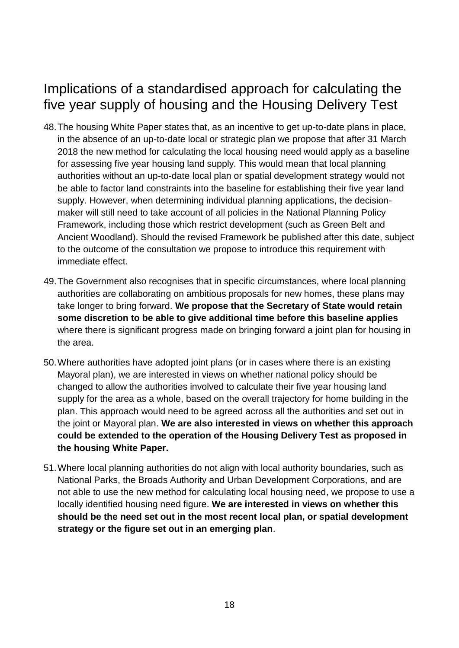# Implications of a standardised approach for calculating the five year supply of housing and the Housing Delivery Test

- 48.The housing White Paper states that, as an incentive to get up-to-date plans in place, in the absence of an up-to-date local or strategic plan we propose that after 31 March 2018 the new method for calculating the local housing need would apply as a baseline for assessing five year housing land supply. This would mean that local planning authorities without an up-to-date local plan or spatial development strategy would not be able to factor land constraints into the baseline for establishing their five year land supply. However, when determining individual planning applications, the decisionmaker will still need to take account of all policies in the National Planning Policy Framework, including those which restrict development (such as Green Belt and Ancient Woodland). Should the revised Framework be published after this date, subject to the outcome of the consultation we propose to introduce this requirement with immediate effect.
- 49.The Government also recognises that in specific circumstances, where local planning authorities are collaborating on ambitious proposals for new homes, these plans may take longer to bring forward. **We propose that the Secretary of State would retain some discretion to be able to give additional time before this baseline applies** where there is significant progress made on bringing forward a joint plan for housing in the area.
- 50.Where authorities have adopted joint plans (or in cases where there is an existing Mayoral plan), we are interested in views on whether national policy should be changed to allow the authorities involved to calculate their five year housing land supply for the area as a whole, based on the overall trajectory for home building in the plan. This approach would need to be agreed across all the authorities and set out in the joint or Mayoral plan. **We are also interested in views on whether this approach could be extended to the operation of the Housing Delivery Test as proposed in the housing White Paper.**
- 51.Where local planning authorities do not align with local authority boundaries, such as National Parks, the Broads Authority and Urban Development Corporations, and are not able to use the new method for calculating local housing need, we propose to use a locally identified housing need figure. **We are interested in views on whether this should be the need set out in the most recent local plan, or spatial development strategy or the figure set out in an emerging plan**.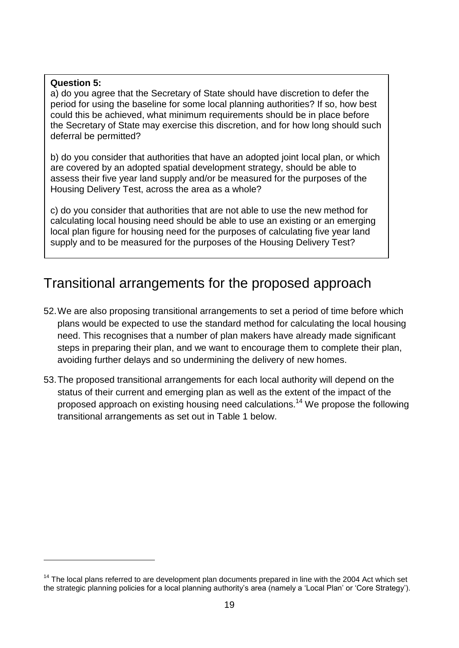### **Question 5:**

1

a) do you agree that the Secretary of State should have discretion to defer the period for using the baseline for some local planning authorities? If so, how best could this be achieved, what minimum requirements should be in place before the Secretary of State may exercise this discretion, and for how long should such deferral be permitted?

b) do you consider that authorities that have an adopted joint local plan, or which are covered by an adopted spatial development strategy, should be able to assess their five year land supply and/or be measured for the purposes of the Housing Delivery Test, across the area as a whole?

c) do you consider that authorities that are not able to use the new method for calculating local housing need should be able to use an existing or an emerging local plan figure for housing need for the purposes of calculating five year land supply and to be measured for the purposes of the Housing Delivery Test?

# Transitional arrangements for the proposed approach

- 52.We are also proposing transitional arrangements to set a period of time before which plans would be expected to use the standard method for calculating the local housing need. This recognises that a number of plan makers have already made significant steps in preparing their plan, and we want to encourage them to complete their plan, avoiding further delays and so undermining the delivery of new homes.
- 53.The proposed transitional arrangements for each local authority will depend on the status of their current and emerging plan as well as the extent of the impact of the proposed approach on existing housing need calculations.<sup>14</sup> We propose the following transitional arrangements as set out in Table 1 below.

 $14$  The local plans referred to are development plan documents prepared in line with the 2004 Act which set the strategic planning policies for a local planning authority's area (namely a 'Local Plan' or 'Core Strategy').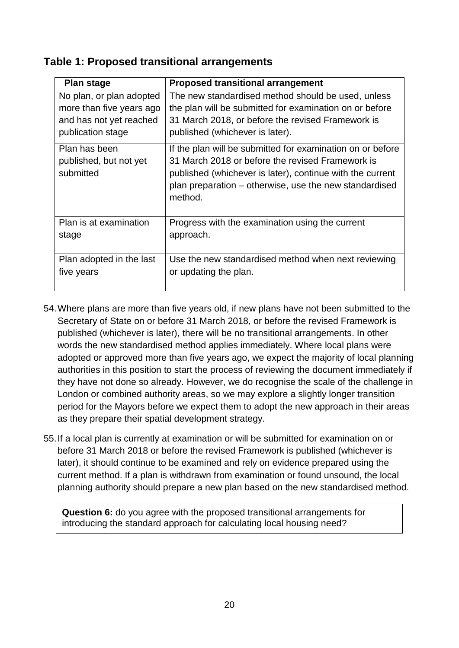## **Table 1: Proposed transitional arrangements**

| <b>Plan stage</b>                                    | <b>Proposed transitional arrangement</b>                                                                                                                                                                                                         |
|------------------------------------------------------|--------------------------------------------------------------------------------------------------------------------------------------------------------------------------------------------------------------------------------------------------|
| No plan, or plan adopted                             | The new standardised method should be used, unless                                                                                                                                                                                               |
| more than five years ago                             | the plan will be submitted for examination on or before                                                                                                                                                                                          |
| and has not yet reached                              | 31 March 2018, or before the revised Framework is                                                                                                                                                                                                |
| publication stage                                    | published (whichever is later).                                                                                                                                                                                                                  |
| Plan has been<br>published, but not yet<br>submitted | If the plan will be submitted for examination on or before<br>31 March 2018 or before the revised Framework is<br>published (whichever is later), continue with the current<br>plan preparation – otherwise, use the new standardised<br>method. |
| Plan is at examination                               | Progress with the examination using the current                                                                                                                                                                                                  |
| stage                                                | approach.                                                                                                                                                                                                                                        |
| Plan adopted in the last                             | Use the new standardised method when next reviewing                                                                                                                                                                                              |
| five years                                           | or updating the plan.                                                                                                                                                                                                                            |

- 54.Where plans are more than five years old, if new plans have not been submitted to the Secretary of State on or before 31 March 2018, or before the revised Framework is published (whichever is later), there will be no transitional arrangements. In other words the new standardised method applies immediately. Where local plans were adopted or approved more than five years ago, we expect the majority of local planning authorities in this position to start the process of reviewing the document immediately if they have not done so already. However, we do recognise the scale of the challenge in London or combined authority areas, so we may explore a slightly longer transition period for the Mayors before we expect them to adopt the new approach in their areas as they prepare their spatial development strategy.
- 55.If a local plan is currently at examination or will be submitted for examination on or before 31 March 2018 or before the revised Framework is published (whichever is later), it should continue to be examined and rely on evidence prepared using the current method. If a plan is withdrawn from examination or found unsound, the local planning authority should prepare a new plan based on the new standardised method.

**Question 6:** do you agree with the proposed transitional arrangements for introducing the standard approach for calculating local housing need?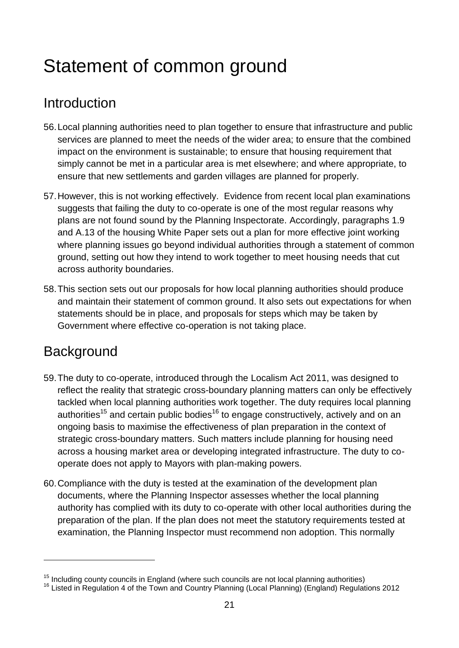# <span id="page-22-0"></span>Statement of common ground

# Introduction

- 56.Local planning authorities need to plan together to ensure that infrastructure and public services are planned to meet the needs of the wider area; to ensure that the combined impact on the environment is sustainable; to ensure that housing requirement that simply cannot be met in a particular area is met elsewhere; and where appropriate, to ensure that new settlements and garden villages are planned for properly.
- 57.However, this is not working effectively. Evidence from recent local plan examinations suggests that failing the duty to co-operate is one of the most regular reasons why plans are not found sound by the Planning Inspectorate. Accordingly, paragraphs 1.9 and A.13 of the housing White Paper sets out a plan for more effective joint working where planning issues go beyond individual authorities through a statement of common ground, setting out how they intend to work together to meet housing needs that cut across authority boundaries.
- 58.This section sets out our proposals for how local planning authorities should produce and maintain their statement of common ground. It also sets out expectations for when statements should be in place, and proposals for steps which may be taken by Government where effective co-operation is not taking place.

# **Background**

1

- 59.The duty to co-operate, introduced through the Localism Act 2011, was designed to reflect the reality that strategic cross-boundary planning matters can only be effectively tackled when local planning authorities work together. The duty requires local planning authorities<sup>15</sup> and certain public bodies<sup>16</sup> to engage constructively, actively and on an ongoing basis to maximise the effectiveness of plan preparation in the context of strategic cross-boundary matters. Such matters include planning for housing need across a housing market area or developing integrated infrastructure. The duty to cooperate does not apply to Mayors with plan-making powers.
- 60.Compliance with the duty is tested at the examination of the development plan documents, where the Planning Inspector assesses whether the local planning authority has complied with its duty to co-operate with other local authorities during the preparation of the plan. If the plan does not meet the statutory requirements tested at examination, the Planning Inspector must recommend non adoption. This normally

 $15$  Including county councils in England (where such councils are not local planning authorities)

<sup>&</sup>lt;sup>16</sup> Listed in Regulation 4 of the Town and Country Planning (Local Planning) (England) Regulations 2012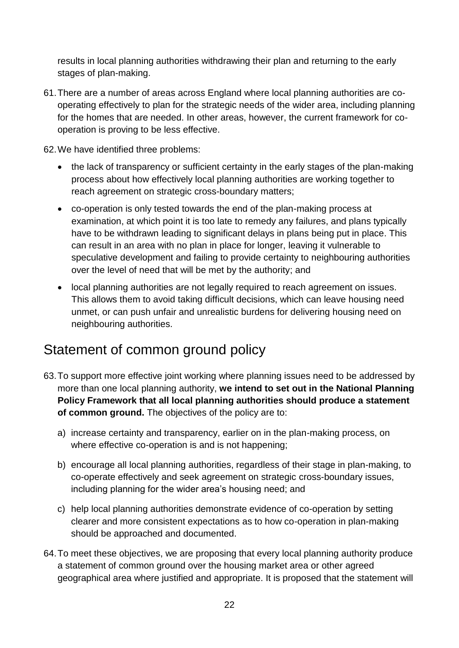results in local planning authorities withdrawing their plan and returning to the early stages of plan-making.

61.There are a number of areas across England where local planning authorities are cooperating effectively to plan for the strategic needs of the wider area, including planning for the homes that are needed. In other areas, however, the current framework for cooperation is proving to be less effective.

62.We have identified three problems:

- the lack of transparency or sufficient certainty in the early stages of the plan-making process about how effectively local planning authorities are working together to reach agreement on strategic cross-boundary matters;
- co-operation is only tested towards the end of the plan-making process at examination, at which point it is too late to remedy any failures, and plans typically have to be withdrawn leading to significant delays in plans being put in place. This can result in an area with no plan in place for longer, leaving it vulnerable to speculative development and failing to provide certainty to neighbouring authorities over the level of need that will be met by the authority; and
- local planning authorities are not legally required to reach agreement on issues. This allows them to avoid taking difficult decisions, which can leave housing need unmet, or can push unfair and unrealistic burdens for delivering housing need on neighbouring authorities.

# Statement of common ground policy

- 63.To support more effective joint working where planning issues need to be addressed by more than one local planning authority, **we intend to set out in the National Planning Policy Framework that all local planning authorities should produce a statement of common ground.** The objectives of the policy are to:
	- a) increase certainty and transparency, earlier on in the plan-making process, on where effective co-operation is and is not happening;
	- b) encourage all local planning authorities, regardless of their stage in plan-making, to co-operate effectively and seek agreement on strategic cross-boundary issues, including planning for the wider area's housing need; and
	- c) help local planning authorities demonstrate evidence of co-operation by setting clearer and more consistent expectations as to how co-operation in plan-making should be approached and documented.
- 64.To meet these objectives, we are proposing that every local planning authority produce a statement of common ground over the housing market area or other agreed geographical area where justified and appropriate. It is proposed that the statement will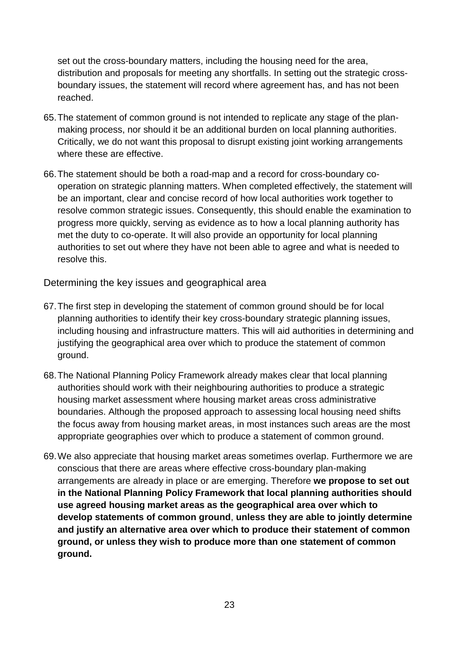set out the cross-boundary matters, including the housing need for the area, distribution and proposals for meeting any shortfalls. In setting out the strategic crossboundary issues, the statement will record where agreement has, and has not been reached.

- 65.The statement of common ground is not intended to replicate any stage of the planmaking process, nor should it be an additional burden on local planning authorities. Critically, we do not want this proposal to disrupt existing joint working arrangements where these are effective.
- 66.The statement should be both a road-map and a record for cross-boundary cooperation on strategic planning matters. When completed effectively, the statement will be an important, clear and concise record of how local authorities work together to resolve common strategic issues. Consequently, this should enable the examination to progress more quickly, serving as evidence as to how a local planning authority has met the duty to co-operate. It will also provide an opportunity for local planning authorities to set out where they have not been able to agree and what is needed to resolve this.

Determining the key issues and geographical area

- 67.The first step in developing the statement of common ground should be for local planning authorities to identify their key cross-boundary strategic planning issues, including housing and infrastructure matters. This will aid authorities in determining and justifying the geographical area over which to produce the statement of common ground.
- 68.The National Planning Policy Framework already makes clear that local planning authorities should work with their neighbouring authorities to produce a strategic housing market assessment where housing market areas cross administrative boundaries. Although the proposed approach to assessing local housing need shifts the focus away from housing market areas, in most instances such areas are the most appropriate geographies over which to produce a statement of common ground.
- 69.We also appreciate that housing market areas sometimes overlap. Furthermore we are conscious that there are areas where effective cross-boundary plan-making arrangements are already in place or are emerging. Therefore **we propose to set out in the National Planning Policy Framework that local planning authorities should use agreed housing market areas as the geographical area over which to develop statements of common ground**, **unless they are able to jointly determine and justify an alternative area over which to produce their statement of common ground, or unless they wish to produce more than one statement of common ground.**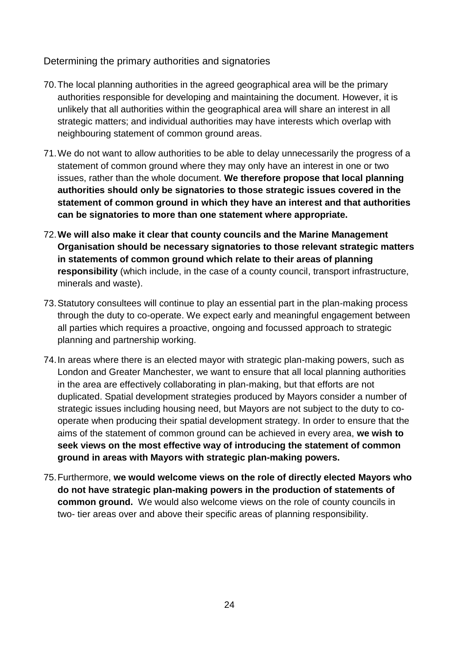Determining the primary authorities and signatories

- 70.The local planning authorities in the agreed geographical area will be the primary authorities responsible for developing and maintaining the document. However, it is unlikely that all authorities within the geographical area will share an interest in all strategic matters; and individual authorities may have interests which overlap with neighbouring statement of common ground areas.
- 71.We do not want to allow authorities to be able to delay unnecessarily the progress of a statement of common ground where they may only have an interest in one or two issues, rather than the whole document. **We therefore propose that local planning authorities should only be signatories to those strategic issues covered in the statement of common ground in which they have an interest and that authorities can be signatories to more than one statement where appropriate.**
- 72.**We will also make it clear that county councils and the Marine Management Organisation should be necessary signatories to those relevant strategic matters in statements of common ground which relate to their areas of planning responsibility** (which include, in the case of a county council, transport infrastructure, minerals and waste).
- 73.Statutory consultees will continue to play an essential part in the plan-making process through the duty to co-operate. We expect early and meaningful engagement between all parties which requires a proactive, ongoing and focussed approach to strategic planning and partnership working.
- 74.In areas where there is an elected mayor with strategic plan-making powers, such as London and Greater Manchester, we want to ensure that all local planning authorities in the area are effectively collaborating in plan-making, but that efforts are not duplicated. Spatial development strategies produced by Mayors consider a number of strategic issues including housing need, but Mayors are not subject to the duty to cooperate when producing their spatial development strategy. In order to ensure that the aims of the statement of common ground can be achieved in every area, **we wish to seek views on the most effective way of introducing the statement of common ground in areas with Mayors with strategic plan-making powers.**
- 75.Furthermore, **we would welcome views on the role of directly elected Mayors who do not have strategic plan-making powers in the production of statements of common ground.** We would also welcome views on the role of county councils in two- tier areas over and above their specific areas of planning responsibility.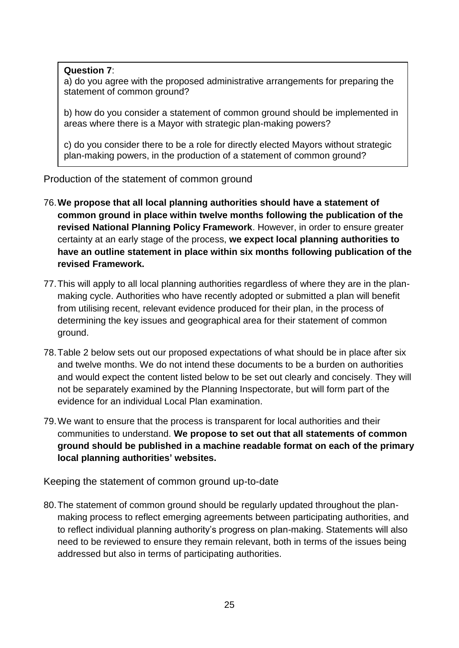### **Question 7**:

a) do you agree with the proposed administrative arrangements for preparing the statement of common ground?

b) how do you consider a statement of common ground should be implemented in areas where there is a Mayor with strategic plan-making powers?

c) do you consider there to be a role for directly elected Mayors without strategic plan-making powers, in the production of a statement of common ground?

Production of the statement of common ground

- 76.**We propose that all local planning authorities should have a statement of common ground in place within twelve months following the publication of the revised National Planning Policy Framework**. However, in order to ensure greater certainty at an early stage of the process, **we expect local planning authorities to have an outline statement in place within six months following publication of the revised Framework.**
- 77.This will apply to all local planning authorities regardless of where they are in the planmaking cycle. Authorities who have recently adopted or submitted a plan will benefit from utilising recent, relevant evidence produced for their plan, in the process of determining the key issues and geographical area for their statement of common ground.
- 78.Table 2 below sets out our proposed expectations of what should be in place after six and twelve months. We do not intend these documents to be a burden on authorities and would expect the content listed below to be set out clearly and concisely. They will not be separately examined by the Planning Inspectorate, but will form part of the evidence for an individual Local Plan examination.
- 79.We want to ensure that the process is transparent for local authorities and their communities to understand. **We propose to set out that all statements of common ground should be published in a machine readable format on each of the primary local planning authorities' websites.**

Keeping the statement of common ground up-to-date

80.The statement of common ground should be regularly updated throughout the planmaking process to reflect emerging agreements between participating authorities, and to reflect individual planning authority's progress on plan-making. Statements will also need to be reviewed to ensure they remain relevant, both in terms of the issues being addressed but also in terms of participating authorities.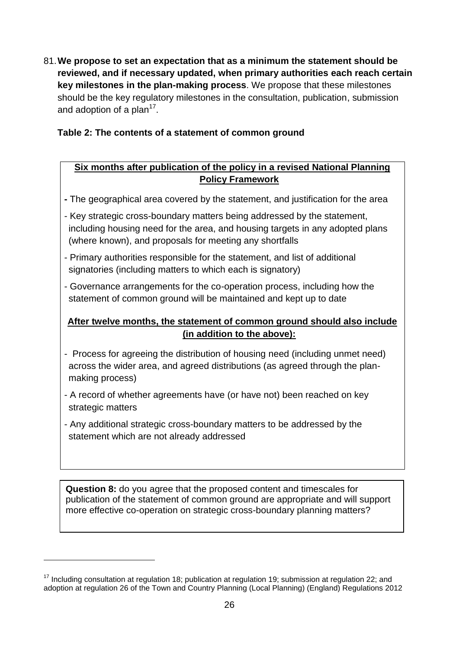81.**We propose to set an expectation that as a minimum the statement should be reviewed, and if necessary updated, when primary authorities each reach certain key milestones in the plan-making process**. We propose that these milestones should be the key regulatory milestones in the consultation, publication, submission and adoption of a plan<sup>17</sup>.

## **Table 2: The contents of a statement of common ground**

## **Six months after publication of the policy in a revised National Planning Policy Framework**

- **-** The geographical area covered by the statement, and justification for the area
- Key strategic cross-boundary matters being addressed by the statement, including housing need for the area, and housing targets in any adopted plans (where known), and proposals for meeting any shortfalls
- Primary authorities responsible for the statement, and list of additional signatories (including matters to which each is signatory)
- Governance arrangements for the co-operation process, including how the statement of common ground will be maintained and kept up to date

## **After twelve months, the statement of common ground should also include (in addition to the above):**

- Process for agreeing the distribution of housing need (including unmet need) across the wider area, and agreed distributions (as agreed through the planmaking process)
- A record of whether agreements have (or have not) been reached on key strategic matters
- Any additional strategic cross-boundary matters to be addressed by the statement which are not already addressed

**Question 8:** do you agree that the proposed content and timescales for publication of the statement of common ground are appropriate and will support more effective co-operation on strategic cross-boundary planning matters?

1

 $17$  Including consultation at regulation 18; publication at regulation 19; submission at regulation 22; and adoption at regulation 26 of the Town and Country Planning (Local Planning) (England) Regulations 2012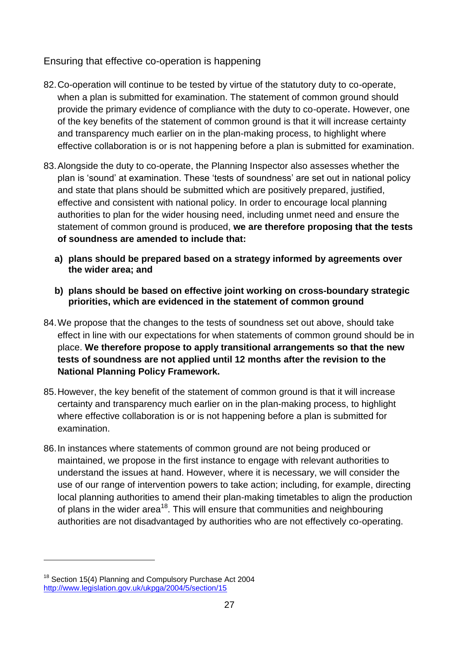Ensuring that effective co-operation is happening

- 82.Co-operation will continue to be tested by virtue of the statutory duty to co-operate, when a plan is submitted for examination. The statement of common ground should provide the primary evidence of compliance with the duty to co-operate**.** However, one of the key benefits of the statement of common ground is that it will increase certainty and transparency much earlier on in the plan-making process, to highlight where effective collaboration is or is not happening before a plan is submitted for examination.
- 83.Alongside the duty to co-operate, the Planning Inspector also assesses whether the plan is 'sound' at examination. These 'tests of soundness' are set out in national policy and state that plans should be submitted which are positively prepared, justified, effective and consistent with national policy. In order to encourage local planning authorities to plan for the wider housing need, including unmet need and ensure the statement of common ground is produced, **we are therefore proposing that the tests of soundness are amended to include that:**
	- **a) plans should be prepared based on a strategy informed by agreements over the wider area; and**
	- **b) plans should be based on effective joint working on cross-boundary strategic priorities, which are evidenced in the statement of common ground**
- 84.We propose that the changes to the tests of soundness set out above, should take effect in line with our expectations for when statements of common ground should be in place. **We therefore propose to apply transitional arrangements so that the new tests of soundness are not applied until 12 months after the revision to the National Planning Policy Framework.**
- 85.However, the key benefit of the statement of common ground is that it will increase certainty and transparency much earlier on in the plan-making process, to highlight where effective collaboration is or is not happening before a plan is submitted for examination.
- 86.In instances where statements of common ground are not being produced or maintained, we propose in the first instance to engage with relevant authorities to understand the issues at hand. However, where it is necessary, we will consider the use of our range of intervention powers to take action; including, for example, directing local planning authorities to amend their plan-making timetables to align the production of plans in the wider area<sup>18</sup>. This will ensure that communities and neighbouring authorities are not disadvantaged by authorities who are not effectively co-operating.

1

<sup>&</sup>lt;sup>18</sup> Section 15(4) Planning and Compulsory Purchase Act 2004 <http://www.legislation.gov.uk/ukpga/2004/5/section/15>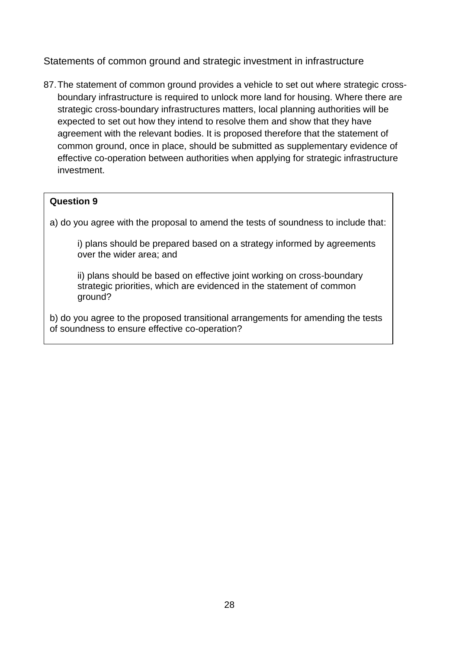Statements of common ground and strategic investment in infrastructure

87.The statement of common ground provides a vehicle to set out where strategic crossboundary infrastructure is required to unlock more land for housing. Where there are strategic cross-boundary infrastructures matters, local planning authorities will be expected to set out how they intend to resolve them and show that they have agreement with the relevant bodies. It is proposed therefore that the statement of common ground, once in place, should be submitted as supplementary evidence of effective co-operation between authorities when applying for strategic infrastructure investment.

### **Question 9**

a) do you agree with the proposal to amend the tests of soundness to include that:

i) plans should be prepared based on a strategy informed by agreements over the wider area; and

ii) plans should be based on effective joint working on cross-boundary strategic priorities, which are evidenced in the statement of common ground?

b) do you agree to the proposed transitional arrangements for amending the tests of soundness to ensure effective co-operation?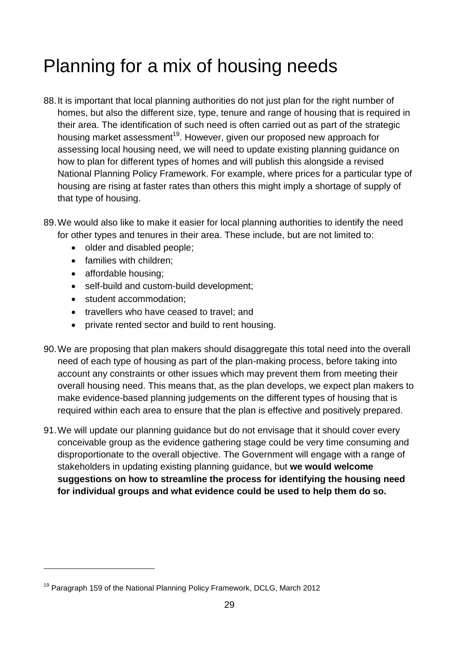# Planning for a mix of housing needs

- 88.It is important that local planning authorities do not just plan for the right number of homes, but also the different size, type, tenure and range of housing that is required in their area. The identification of such need is often carried out as part of the strategic housing market assessment<sup>19</sup>. However, given our proposed new approach for assessing local housing need, we will need to update existing planning guidance on how to plan for different types of homes and will publish this alongside a revised National Planning Policy Framework. For example, where prices for a particular type of housing are rising at faster rates than others this might imply a shortage of supply of that type of housing.
- 89.We would also like to make it easier for local planning authorities to identify the need for other types and tenures in their area. These include, but are not limited to:
	- older and disabled people;
	- families with children;
	- affordable housing;

1

- self-build and custom-build development;
- student accommodation;
- travellers who have ceased to travel; and
- private rented sector and build to rent housing.
- 90.We are proposing that plan makers should disaggregate this total need into the overall need of each type of housing as part of the plan-making process, before taking into account any constraints or other issues which may prevent them from meeting their overall housing need. This means that, as the plan develops, we expect plan makers to make evidence-based planning judgements on the different types of housing that is required within each area to ensure that the plan is effective and positively prepared.
- 91.We will update our planning guidance but do not envisage that it should cover every conceivable group as the evidence gathering stage could be very time consuming and disproportionate to the overall objective. The Government will engage with a range of stakeholders in updating existing planning guidance, but **we would welcome suggestions on how to streamline the process for identifying the housing need for individual groups and what evidence could be used to help them do so.**

<sup>&</sup>lt;sup>19</sup> Paragraph 159 of the National Planning Policy Framework, DCLG, March 2012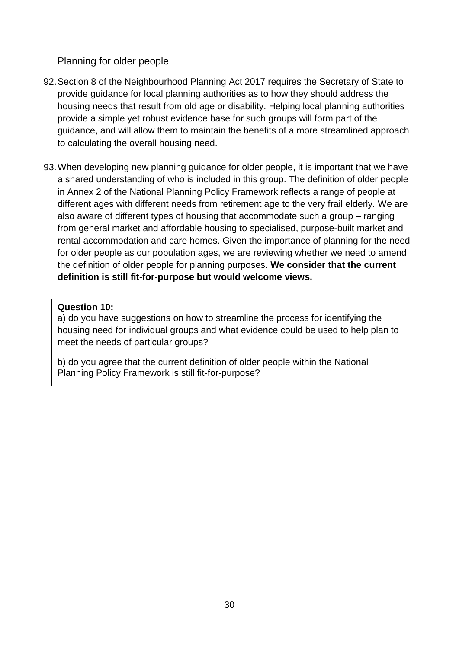Planning for older people

- 92.Section 8 of the Neighbourhood Planning Act 2017 requires the Secretary of State to provide guidance for local planning authorities as to how they should address the housing needs that result from old age or disability. Helping local planning authorities provide a simple yet robust evidence base for such groups will form part of the guidance, and will allow them to maintain the benefits of a more streamlined approach to calculating the overall housing need.
- 93.When developing new planning guidance for older people, it is important that we have a shared understanding of who is included in this group. The definition of older people in Annex 2 of the National Planning Policy Framework reflects a range of people at different ages with different needs from retirement age to the very frail elderly. We are also aware of different types of housing that accommodate such a group – ranging from general market and affordable housing to specialised, purpose-built market and rental accommodation and care homes. Given the importance of planning for the need for older people as our population ages, we are reviewing whether we need to amend the definition of older people for planning purposes. **We consider that the current definition is still fit-for-purpose but would welcome views.**

### **Question 10:**

 $\overline{a}$ 

a) do you have suggestions on how to streamline the process for identifying the housing need for individual groups and what evidence could be used to help plan to meet the needs of particular groups?

b) do you agree that the current definition of older people within the National Planning Policy Framework is still fit-for-purpose?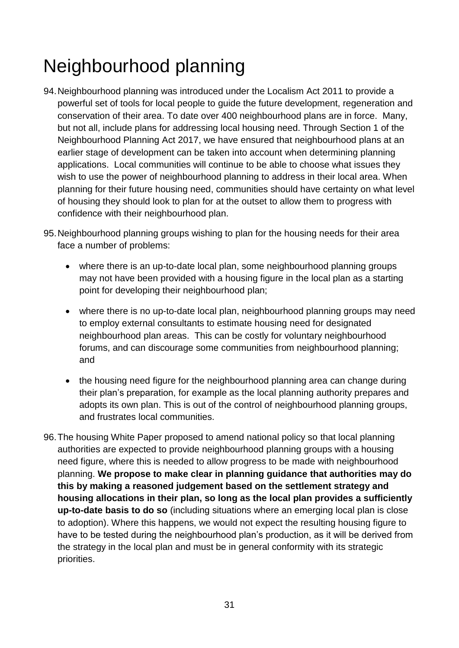# Neighbourhood planning

- 94.Neighbourhood planning was introduced under the Localism Act 2011 to provide a powerful set of tools for local people to guide the future development, regeneration and conservation of their area. To date over 400 neighbourhood plans are in force. Many, but not all, include plans for addressing local housing need. Through Section 1 of the Neighbourhood Planning Act 2017, we have ensured that neighbourhood plans at an earlier stage of development can be taken into account when determining planning applications. Local communities will continue to be able to choose what issues they wish to use the power of neighbourhood planning to address in their local area. When planning for their future housing need, communities should have certainty on what level of housing they should look to plan for at the outset to allow them to progress with confidence with their neighbourhood plan.
- 95.Neighbourhood planning groups wishing to plan for the housing needs for their area face a number of problems:
	- where there is an up-to-date local plan, some neighbourhood planning groups may not have been provided with a housing figure in the local plan as a starting point for developing their neighbourhood plan;
	- where there is no up-to-date local plan, neighbourhood planning groups may need to employ external consultants to estimate housing need for designated neighbourhood plan areas. This can be costly for voluntary neighbourhood forums, and can discourage some communities from neighbourhood planning; and
	- the housing need figure for the neighbourhood planning area can change during their plan's preparation, for example as the local planning authority prepares and adopts its own plan. This is out of the control of neighbourhood planning groups, and frustrates local communities.
- 96.The housing White Paper proposed to amend national policy so that local planning authorities are expected to provide neighbourhood planning groups with a housing need figure, where this is needed to allow progress to be made with neighbourhood planning. **We propose to make clear in planning guidance that authorities may do this by making a reasoned judgement based on the settlement strategy and housing allocations in their plan, so long as the local plan provides a sufficiently up-to-date basis to do so** (including situations where an emerging local plan is close to adoption). Where this happens, we would not expect the resulting housing figure to have to be tested during the neighbourhood plan's production, as it will be derived from the strategy in the local plan and must be in general conformity with its strategic priorities.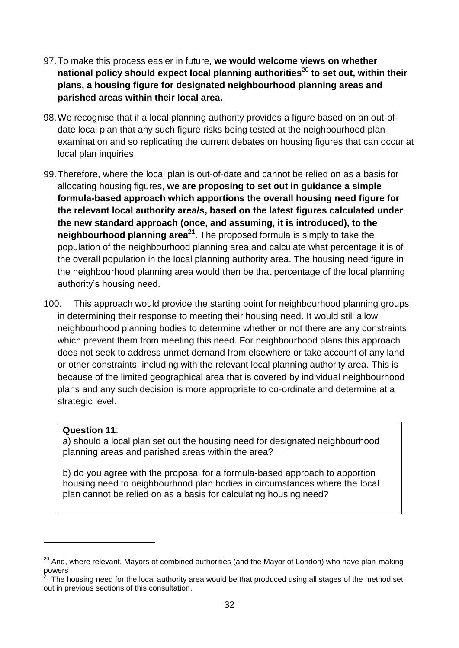- 97.To make this process easier in future, **we would welcome views on whether national policy should expect local planning authorities**<sup>20</sup> **to set out, within their plans, a housing figure for designated neighbourhood planning areas and parished areas within their local area.**
- 98.We recognise that if a local planning authority provides a figure based on an out-ofdate local plan that any such figure risks being tested at the neighbourhood plan examination and so replicating the current debates on housing figures that can occur at local plan inquiries
- 99.Therefore, where the local plan is out-of-date and cannot be relied on as a basis for allocating housing figures, **we are proposing to set out in guidance a simple formula-based approach which apportions the overall housing need figure for the relevant local authority area/s, based on the latest figures calculated under the new standard approach (once, and assuming, it is introduced), to the neighbourhood planning area<sup>21</sup>**. The proposed formula is simply to take the population of the neighbourhood planning area and calculate what percentage it is of the overall population in the local planning authority area. The housing need figure in the neighbourhood planning area would then be that percentage of the local planning authority's housing need.
- 100. This approach would provide the starting point for neighbourhood planning groups in determining their response to meeting their housing need. It would still allow neighbourhood planning bodies to determine whether or not there are any constraints which prevent them from meeting this need. For neighbourhood plans this approach does not seek to address unmet demand from elsewhere or take account of any land or other constraints, including with the relevant local planning authority area. This is because of the limited geographical area that is covered by individual neighbourhood plans and any such decision is more appropriate to co-ordinate and determine at a strategic level.

#### **Question 11**:

1

a) should a local plan set out the housing need for designated neighbourhood planning areas and parished areas within the area?

b) do you agree with the proposal for a formula-based approach to apportion housing need to neighbourhood plan bodies in circumstances where the local plan cannot be relied on as a basis for calculating housing need?

<sup>&</sup>lt;sup>20</sup> And. where relevant, Mayors of combined authorities (and the Mayor of London) who have plan-making powers

 $1<sup>1</sup>$  The housing need for the local authority area would be that produced using all stages of the method set out in previous sections of this consultation.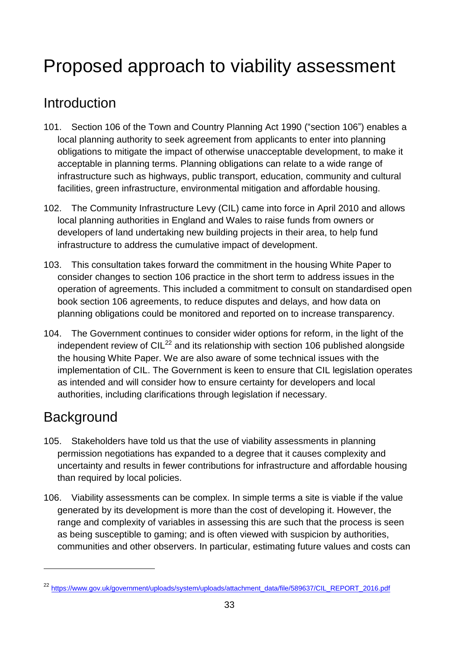# <span id="page-34-0"></span>Proposed approach to viability assessment

# Introduction

- 101. Section 106 of the Town and Country Planning Act 1990 ("section 106") enables a local planning authority to seek agreement from applicants to enter into planning obligations to mitigate the impact of otherwise unacceptable development, to make it acceptable in planning terms. Planning obligations can relate to a wide range of infrastructure such as highways, public transport, education, community and cultural facilities, green infrastructure, environmental mitigation and affordable housing.
- 102. The Community Infrastructure Levy (CIL) came into force in April 2010 and allows local planning authorities in England and Wales to raise funds from owners or developers of land undertaking new building projects in their area, to help fund infrastructure to address the cumulative impact of development.
- 103. This consultation takes forward the commitment in the housing White Paper to consider changes to section 106 practice in the short term to address issues in the operation of agreements. This included a commitment to consult on standardised open book section 106 agreements, to reduce disputes and delays, and how data on planning obligations could be monitored and reported on to increase transparency.
- 104. The Government continues to consider wider options for reform, in the light of the independent review of  $ClL<sup>22</sup>$  and its relationship with section 106 published alongside the housing White Paper. We are also aware of some technical issues with the implementation of CIL. The Government is keen to ensure that CIL legislation operates as intended and will consider how to ensure certainty for developers and local authorities, including clarifications through legislation if necessary.

# **Background**

1

- 105. Stakeholders have told us that the use of viability assessments in planning permission negotiations has expanded to a degree that it causes complexity and uncertainty and results in fewer contributions for infrastructure and affordable housing than required by local policies.
- 106. Viability assessments can be complex. In simple terms a site is viable if the value generated by its development is more than the cost of developing it. However, the range and complexity of variables in assessing this are such that the process is seen as being susceptible to gaming; and is often viewed with suspicion by authorities, communities and other observers. In particular, estimating future values and costs can

<sup>22</sup> [https://www.gov.uk/government/uploads/system/uploads/attachment\\_data/file/589637/CIL\\_REPORT\\_2016.pdf](https://www.gov.uk/government/uploads/system/uploads/attachment_data/file/589637/CIL_REPORT_2016.pdf)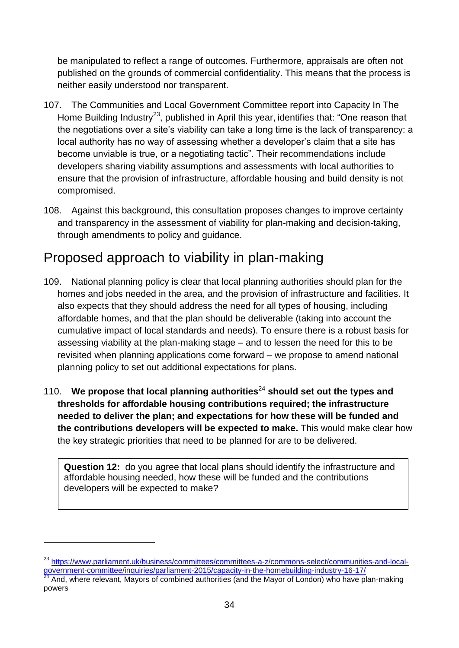be manipulated to reflect a range of outcomes. Furthermore, appraisals are often not published on the grounds of commercial confidentiality. This means that the process is neither easily understood nor transparent.

- 107. The Communities and Local Government Committee report into Capacity In The Home Building Industry<sup>23</sup>, published in April this year, identifies that: "One reason that the negotiations over a site's viability can take a long time is the lack of transparency: a local authority has no way of assessing whether a developer's claim that a site has become unviable is true, or a negotiating tactic". Their recommendations include developers sharing viability assumptions and assessments with local authorities to ensure that the provision of infrastructure, affordable housing and build density is not compromised.
- 108. Against this background, this consultation proposes changes to improve certainty and transparency in the assessment of viability for plan-making and decision-taking, through amendments to policy and guidance.

# Proposed approach to viability in plan-making

- 109. National planning policy is clear that local planning authorities should plan for the homes and jobs needed in the area, and the provision of infrastructure and facilities. It also expects that they should address the need for all types of housing, including affordable homes, and that the plan should be deliverable (taking into account the cumulative impact of local standards and needs). To ensure there is a robust basis for assessing viability at the plan-making stage – and to lessen the need for this to be revisited when planning applications come forward – we propose to amend national planning policy to set out additional expectations for plans.
- 110. **We propose that local planning authorities**<sup>24</sup> **should set out the types and thresholds for affordable housing contributions required; the infrastructure needed to deliver the plan; and expectations for how these will be funded and the contributions developers will be expected to make.** This would make clear how the key strategic priorities that need to be planned for are to be delivered.

**Question 12:** do you agree that local plans should identify the infrastructure and affordable housing needed, how these will be funded and the contributions developers will be expected to make?

1

<sup>23</sup> [https://www.parliament.uk/business/committees/committees-a-z/commons-select/communities-and-local](https://www.parliament.uk/business/committees/committees-a-z/commons-select/communities-and-local-government-committee/inquiries/parliament-2015/capacity-in-the-homebuilding-industry-16-17/)[government-committee/inquiries/parliament-2015/capacity-in-the-homebuilding-industry-16-17/](https://www.parliament.uk/business/committees/committees-a-z/commons-select/communities-and-local-government-committee/inquiries/parliament-2015/capacity-in-the-homebuilding-industry-16-17/)

<sup>24</sup> And, where relevant, Mayors of combined authorities (and the Mayor of London) who have plan-making powers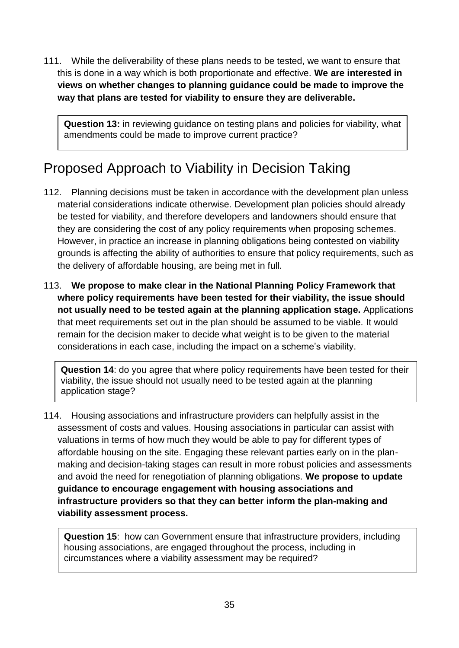111. While the deliverability of these plans needs to be tested, we want to ensure that this is done in a way which is both proportionate and effective. **We are interested in views on whether changes to planning guidance could be made to improve the way that plans are tested for viability to ensure they are deliverable.** 

**Question 13:** in reviewing guidance on testing plans and policies for viability, what amendments could be made to improve current practice?

# Proposed Approach to Viability in Decision Taking

- 112. Planning decisions must be taken in accordance with the development plan unless material considerations indicate otherwise. Development plan policies should already be tested for viability, and therefore developers and landowners should ensure that they are considering the cost of any policy requirements when proposing schemes. However, in practice an increase in planning obligations being contested on viability grounds is affecting the ability of authorities to ensure that policy requirements, such as the delivery of affordable housing, are being met in full.
- 113. **We propose to make clear in the National Planning Policy Framework that where policy requirements have been tested for their viability, the issue should not usually need to be tested again at the planning application stage.** Applications that meet requirements set out in the plan should be assumed to be viable. It would remain for the decision maker to decide what weight is to be given to the material considerations in each case, including the impact on a scheme's viability.

**Question 14**: do you agree that where policy requirements have been tested for their viability, the issue should not usually need to be tested again at the planning application stage?

114. Housing associations and infrastructure providers can helpfully assist in the assessment of costs and values. Housing associations in particular can assist with valuations in terms of how much they would be able to pay for different types of affordable housing on the site. Engaging these relevant parties early on in the planmaking and decision-taking stages can result in more robust policies and assessments and avoid the need for renegotiation of planning obligations. **We propose to update guidance to encourage engagement with housing associations and infrastructure providers so that they can better inform the plan-making and viability assessment process.**

**Question 15**: how can Government ensure that infrastructure providers, including housing associations, are engaged throughout the process, including in circumstances where a viability assessment may be required?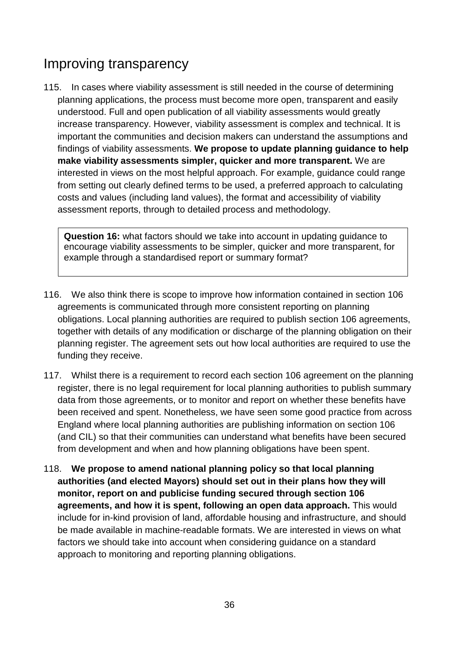# Improving transparency

115. In cases where viability assessment is still needed in the course of determining planning applications, the process must become more open, transparent and easily understood. Full and open publication of all viability assessments would greatly increase transparency. However, viability assessment is complex and technical. It is important the communities and decision makers can understand the assumptions and findings of viability assessments. **We propose to update planning guidance to help make viability assessments simpler, quicker and more transparent.** We are interested in views on the most helpful approach. For example, guidance could range from setting out clearly defined terms to be used, a preferred approach to calculating costs and values (including land values), the format and accessibility of viability assessment reports, through to detailed process and methodology.

**Question 16:** what factors should we take into account in updating guidance to encourage viability assessments to be simpler, quicker and more transparent, for example through a standardised report or summary format?

- 116. We also think there is scope to improve how information contained in section 106 agreements is communicated through more consistent reporting on planning obligations. Local planning authorities are required to publish section 106 agreements, together with details of any modification or discharge of the planning obligation on their planning register. The agreement sets out how local authorities are required to use the funding they receive.
- 117. Whilst there is a requirement to record each section 106 agreement on the planning register, there is no legal requirement for local planning authorities to publish summary data from those agreements, or to monitor and report on whether these benefits have been received and spent. Nonetheless, we have seen some good practice from across England where local planning authorities are publishing information on section 106 (and CIL) so that their communities can understand what benefits have been secured from development and when and how planning obligations have been spent.
- 118. **We propose to amend national planning policy so that local planning authorities (and elected Mayors) should set out in their plans how they will monitor, report on and publicise funding secured through section 106 agreements, and how it is spent, following an open data approach.** This would include for in-kind provision of land, affordable housing and infrastructure, and should be made available in machine-readable formats. We are interested in views on what factors we should take into account when considering guidance on a standard approach to monitoring and reporting planning obligations.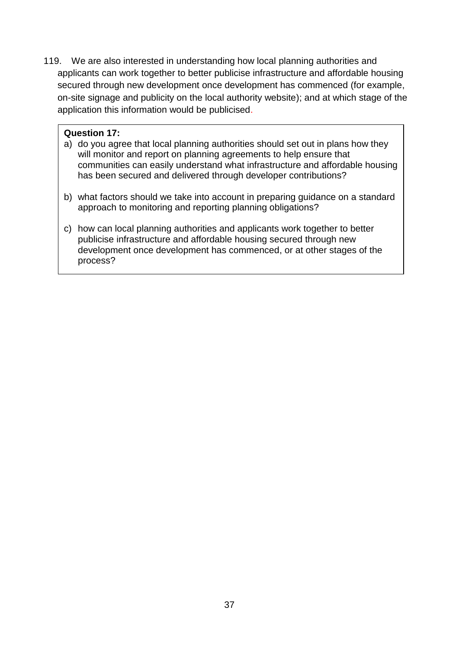119. We are also interested in understanding how local planning authorities and applicants can work together to better publicise infrastructure and affordable housing secured through new development once development has commenced (for example, on-site signage and publicity on the local authority website); and at which stage of the application this information would be publicised.

#### **Question 17:**

- a) do you agree that local planning authorities should set out in plans how they will monitor and report on planning agreements to help ensure that communities can easily understand what infrastructure and affordable housing has been secured and delivered through developer contributions?
- b) what factors should we take into account in preparing guidance on a standard approach to monitoring and reporting planning obligations?
- c) how can local planning authorities and applicants work together to better publicise infrastructure and affordable housing secured through new development once development has commenced, or at other stages of the process?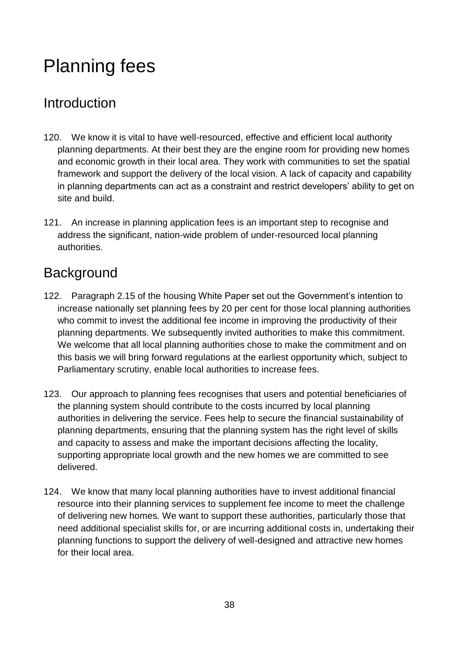# <span id="page-39-0"></span>Planning fees

# Introduction

- 120. We know it is vital to have well-resourced, effective and efficient local authority planning departments. At their best they are the engine room for providing new homes and economic growth in their local area. They work with communities to set the spatial framework and support the delivery of the local vision. A lack of capacity and capability in planning departments can act as a constraint and restrict developers' ability to get on site and build.
- 121. An increase in planning application fees is an important step to recognise and address the significant, nation-wide problem of under-resourced local planning authorities.

# **Background**

- 122. Paragraph 2.15 of the housing White Paper set out the Government's intention to increase nationally set planning fees by 20 per cent for those local planning authorities who commit to invest the additional fee income in improving the productivity of their planning departments. We subsequently invited authorities to make this commitment. We welcome that all local planning authorities chose to make the commitment and on this basis we will bring forward regulations at the earliest opportunity which, subject to Parliamentary scrutiny, enable local authorities to increase fees.
- 123. Our approach to planning fees recognises that users and potential beneficiaries of the planning system should contribute to the costs incurred by local planning authorities in delivering the service. Fees help to secure the financial sustainability of planning departments, ensuring that the planning system has the right level of skills and capacity to assess and make the important decisions affecting the locality, supporting appropriate local growth and the new homes we are committed to see delivered.
- 124. We know that many local planning authorities have to invest additional financial resource into their planning services to supplement fee income to meet the challenge of delivering new homes. We want to support these authorities, particularly those that need additional specialist skills for, or are incurring additional costs in, undertaking their planning functions to support the delivery of well-designed and attractive new homes for their local area.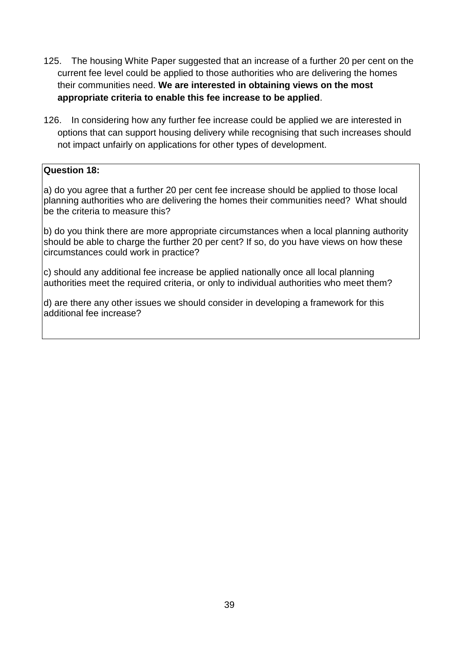- 125. The housing White Paper suggested that an increase of a further 20 per cent on the current fee level could be applied to those authorities who are delivering the homes their communities need. **We are interested in obtaining views on the most appropriate criteria to enable this fee increase to be applied**.
- 126. In considering how any further fee increase could be applied we are interested in options that can support housing delivery while recognising that such increases should not impact unfairly on applications for other types of development.

### **Question 18:**

a) do you agree that a further 20 per cent fee increase should be applied to those local planning authorities who are delivering the homes their communities need? What should be the criteria to measure this?

b) do you think there are more appropriate circumstances when a local planning authority should be able to charge the further 20 per cent? If so, do you have views on how these circumstances could work in practice?

c) should any additional fee increase be applied nationally once all local planning authorities meet the required criteria, or only to individual authorities who meet them?

d) are there any other issues we should consider in developing a framework for this additional fee increase?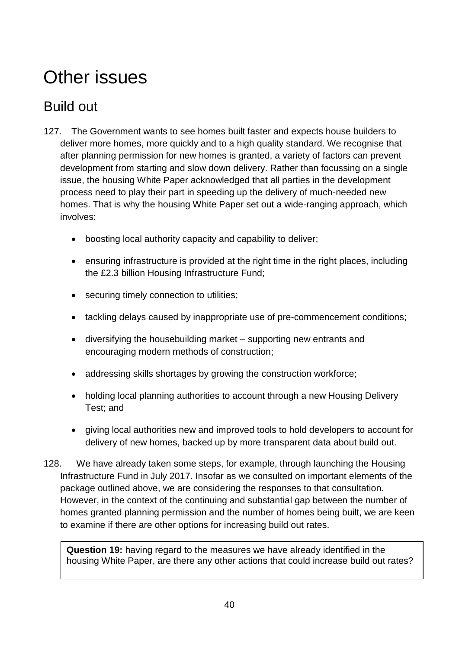# Other issues

# Build out

- 127. The Government wants to see homes built faster and expects house builders to deliver more homes, more quickly and to a high quality standard. We recognise that after planning permission for new homes is granted, a variety of factors can prevent development from starting and slow down delivery. Rather than focussing on a single issue, the housing White Paper acknowledged that all parties in the development process need to play their part in speeding up the delivery of much-needed new homes. That is why the housing White Paper set out a wide-ranging approach, which involves:
	- boosting local authority capacity and capability to deliver;
	- ensuring infrastructure is provided at the right time in the right places, including the £2.3 billion Housing Infrastructure Fund;
	- securing timely connection to utilities;
	- tackling delays caused by inappropriate use of pre-commencement conditions;
	- diversifying the housebuilding market supporting new entrants and encouraging modern methods of construction;
	- addressing skills shortages by growing the construction workforce;
	- holding local planning authorities to account through a new Housing Delivery Test; and
	- giving local authorities new and improved tools to hold developers to account for delivery of new homes, backed up by more transparent data about build out.
- 128. We have already taken some steps, for example, through launching the Housing Infrastructure Fund in July 2017. Insofar as we consulted on important elements of the package outlined above, we are considering the responses to that consultation. However, in the context of the continuing and substantial gap between the number of homes granted planning permission and the number of homes being built, we are keen to examine if there are other options for increasing build out rates.

**Question 19:** having regard to the measures we have already identified in the housing White Paper, are there any other actions that could increase build out rates?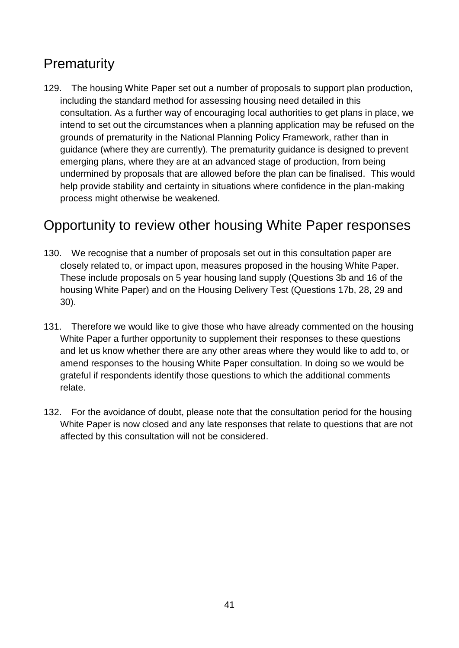# **Prematurity**

129. The housing White Paper set out a number of proposals to support plan production, including the standard method for assessing housing need detailed in this consultation. As a further way of encouraging local authorities to get plans in place, we intend to set out the circumstances when a planning application may be refused on the grounds of prematurity in the National Planning Policy Framework, rather than in guidance (where they are currently). The prematurity guidance is designed to prevent emerging plans, where they are at an advanced stage of production, from being undermined by proposals that are allowed before the plan can be finalised. This would help provide stability and certainty in situations where confidence in the plan-making process might otherwise be weakened.

# Opportunity to review other housing White Paper responses

- 130. We recognise that a number of proposals set out in this consultation paper are closely related to, or impact upon, measures proposed in the housing White Paper. These include proposals on 5 year housing land supply (Questions 3b and 16 of the housing White Paper) and on the Housing Delivery Test (Questions 17b, 28, 29 and 30).
- 131. Therefore we would like to give those who have already commented on the housing White Paper a further opportunity to supplement their responses to these questions and let us know whether there are any other areas where they would like to add to, or amend responses to the housing White Paper consultation. In doing so we would be grateful if respondents identify those questions to which the additional comments relate.
- 132. For the avoidance of doubt, please note that the consultation period for the housing White Paper is now closed and any late responses that relate to questions that are not affected by this consultation will not be considered.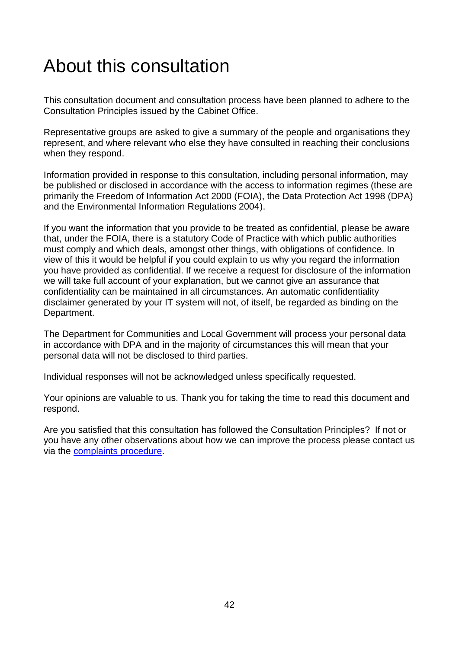# <span id="page-43-0"></span>About this consultation

This consultation document and consultation process have been planned to adhere to the Consultation Principles issued by the Cabinet Office.

Representative groups are asked to give a summary of the people and organisations they represent, and where relevant who else they have consulted in reaching their conclusions when they respond.

Information provided in response to this consultation, including personal information, may be published or disclosed in accordance with the access to information regimes (these are primarily the Freedom of Information Act 2000 (FOIA), the Data Protection Act 1998 (DPA) and the Environmental Information Regulations 2004).

If you want the information that you provide to be treated as confidential, please be aware that, under the FOIA, there is a statutory Code of Practice with which public authorities must comply and which deals, amongst other things, with obligations of confidence. In view of this it would be helpful if you could explain to us why you regard the information you have provided as confidential. If we receive a request for disclosure of the information we will take full account of your explanation, but we cannot give an assurance that confidentiality can be maintained in all circumstances. An automatic confidentiality disclaimer generated by your IT system will not, of itself, be regarded as binding on the Department.

The Department for Communities and Local Government will process your personal data in accordance with DPA and in the majority of circumstances this will mean that your personal data will not be disclosed to third parties.

Individual responses will not be acknowledged unless specifically requested.

Your opinions are valuable to us. Thank you for taking the time to read this document and respond.

Are you satisfied that this consultation has followed the Consultation Principles? If not or you have any other observations about how we can improve the process please contact us via the [complaints procedure.](https://www.gov.uk/government/organisations/department-for-communities-and-local-government/about/complaints-procedure)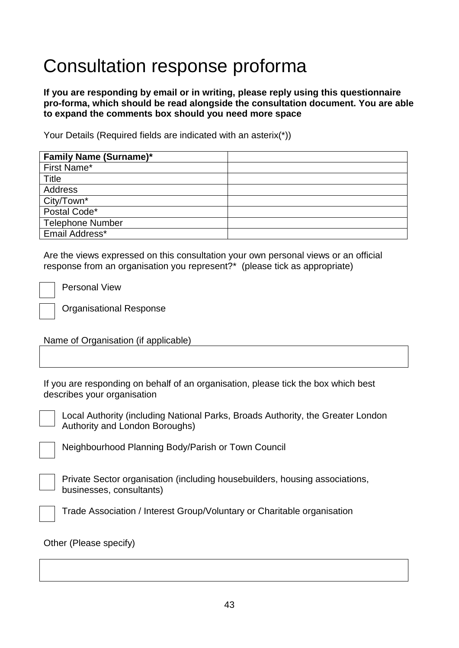# Consultation response proforma

**If you are responding by email or in writing, please reply using this questionnaire pro-forma, which should be read alongside the consultation document. You are able to expand the comments box should you need more space** 

Your Details (Required fields are indicated with an asterix(\*))

| <b>Family Name (Surname)*</b> |  |
|-------------------------------|--|
| First Name*                   |  |
| <b>Title</b>                  |  |
| Address                       |  |
| City/Town*                    |  |
| Postal Code*                  |  |
| <b>Telephone Number</b>       |  |
| Email Address*                |  |

Are the views expressed on this consultation your own personal views or an official response from an organisation you represent?\* (please tick as appropriate)

Personal View

Organisational Response

Name of Organisation (if applicable)

If you are responding on behalf of an organisation, please tick the box which best describes your organisation



Local Authority (including National Parks, Broads Authority, the Greater London Authority and London Boroughs)

Neighbourhood Planning Body/Parish or Town Council

Private Sector organisation (including housebuilders, housing associations, businesses, consultants)

Trade Association / Interest Group/Voluntary or Charitable organisation

Other (Please specify)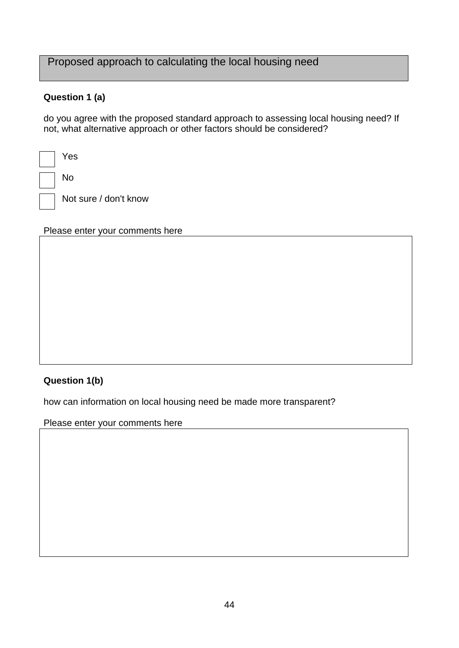## Proposed approach to calculating the local housing need

### **Question 1 (a)**

do you agree with the proposed standard approach to assessing local housing need? If not, what alternative approach or other factors should be considered?

| Yes                   |
|-----------------------|
| No.                   |
| Not sure / don't know |

#### Please enter your comments here

## **Question 1(b)**

how can information on local housing need be made more transparent?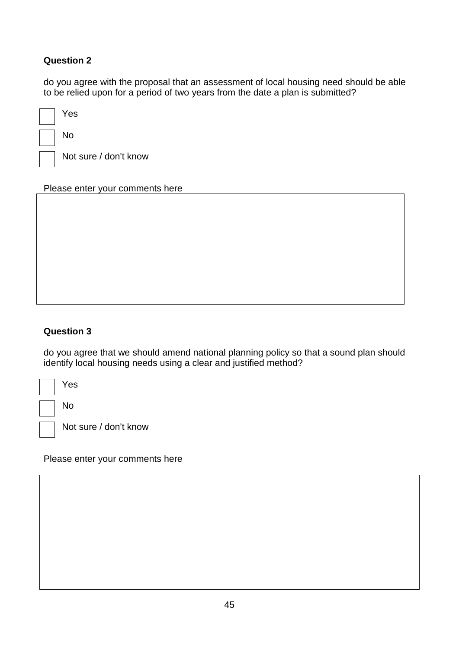## **Question 2**

do you agree with the proposal that an assessment of local housing need should be able to be relied upon for a period of two years from the date a plan is submitted?

| Yes                   |
|-----------------------|
| No                    |
| Not sure / don't know |

Please enter your comments here

## **Question 3**

do you agree that we should amend national planning policy so that a sound plan should identify local housing needs using a clear and justified method?

| Yes   |
|-------|
| No    |
| Not s |

sure / don't know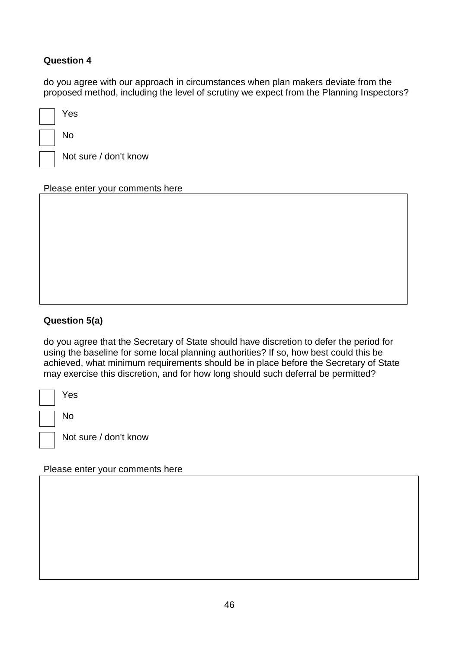### **Question 4**

do you agree with our approach in circumstances when plan makers deviate from the proposed method, including the level of scrutiny we expect from the Planning Inspectors?

| Yes                   |
|-----------------------|
| No                    |
| Not sure / don't know |

Please enter your comments here

### **Question 5(a)**

do you agree that the Secretary of State should have discretion to defer the period for using the baseline for some local planning authorities? If so, how best could this be achieved, what minimum requirements should be in place before the Secretary of State may exercise this discretion, and for how long should such deferral be permitted?

| Yes  |
|------|
| No   |
| トレヘキ |

Not sure / don't know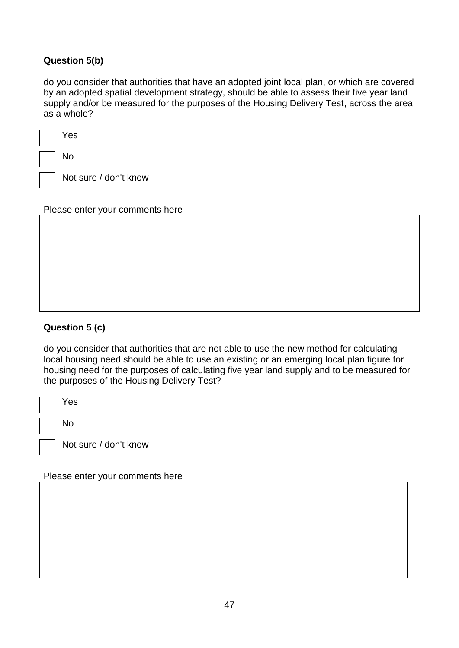## **Question 5(b)**

do you consider that authorities that have an adopted joint local plan, or which are covered by an adopted spatial development strategy, should be able to assess their five year land supply and/or be measured for the purposes of the Housing Delivery Test, across the area as a whole?

| Yes    |
|--------|
| No     |
| یہ +مN |

Not sure / don't know

Please enter your comments here

## **Question 5 (c)**

do you consider that authorities that are not able to use the new method for calculating local housing need should be able to use an existing or an emerging local plan figure for housing need for the purposes of calculating five year land supply and to be measured for the purposes of the Housing Delivery Test?

| Yes |
|-----|
| No  |

Not sure / don't know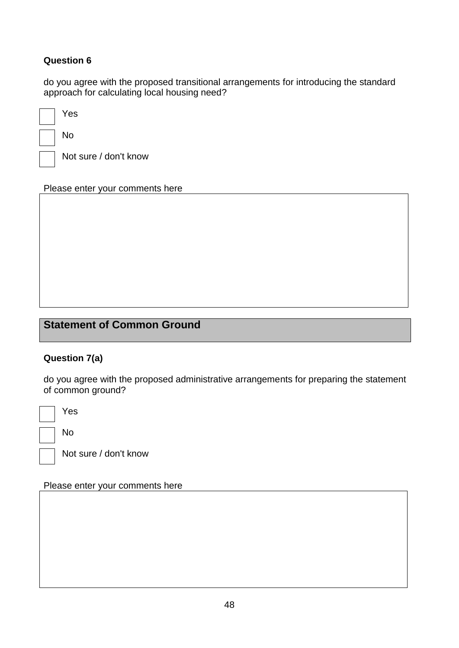## **Question 6**

do you agree with the proposed transitional arrangements for introducing the standard approach for calculating local housing need?

| Yes              |
|------------------|
| No               |
| Not sure / don't |

Please enter your comments here

know

## **Statement of Common Ground**

#### **Question 7(a)**

do you agree with the proposed administrative arrangements for preparing the statement of common ground?

Yes

No

Not sure / don't know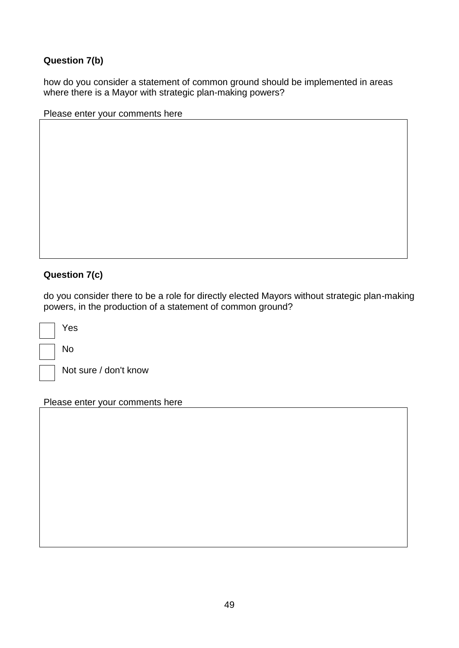## **Question 7(b)**

how do you consider a statement of common ground should be implemented in areas where there is a Mayor with strategic plan-making powers?

Please enter your comments here

## **Question 7(c)**

do you consider there to be a role for directly elected Mayors without strategic plan-making powers, in the production of a statement of common ground?

Yes

No

Not sure / don't know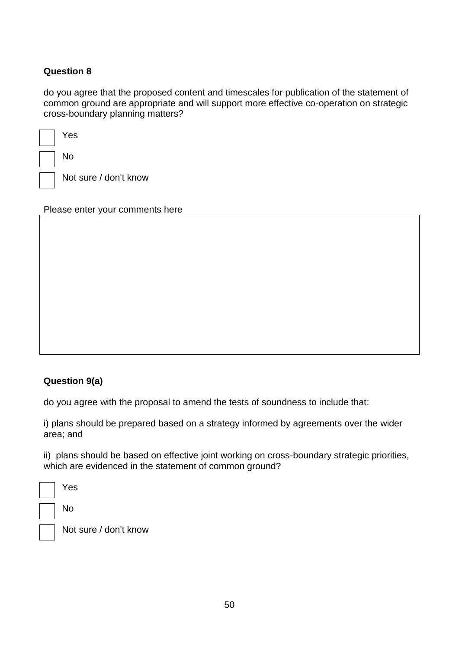### **Question 8**

do you agree that the proposed content and timescales for publication of the statement of common ground are appropriate and will support more effective co-operation on strategic cross-boundary planning matters?

| Yes  |
|------|
| No   |
| Not: |

Not sure / don't know

Please enter your comments here

### **Question 9(a)**

do you agree with the proposal to amend the tests of soundness to include that:

i) plans should be prepared based on a strategy informed by agreements over the wider area; and

ii) plans should be based on effective joint working on cross-boundary strategic priorities, which are evidenced in the statement of common ground?

| Yes      |
|----------|
| No       |
| Not sure |

e / don't know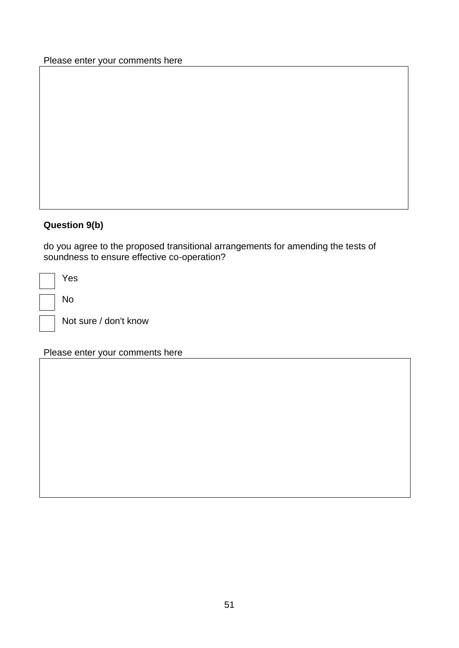Please enter your comments here

## **Question 9(b)**

do you agree to the proposed transitional arrangements for amending the tests of soundness to ensure effective co-operation?

| Yes |
|-----|
| No  |
| в.  |

Not sure / don't know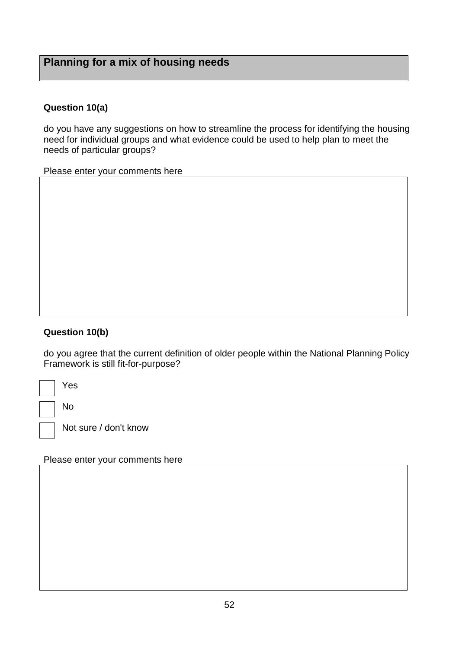## **Planning for a mix of housing needs**

### **Question 10(a)**

do you have any suggestions on how to streamline the process for identifying the housing need for individual groups and what evidence could be used to help plan to meet the needs of particular groups?

Please enter your comments here

#### **Question 10(b)**

do you agree that the current definition of older people within the National Planning Policy Framework is still fit-for-purpose?

Yes No

Not sure / don't know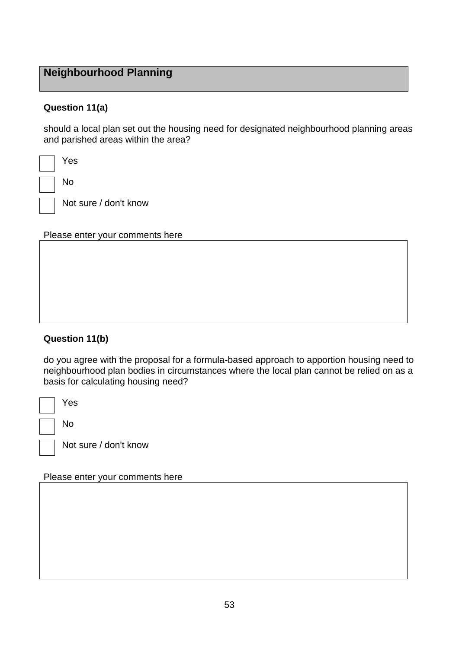## **Neighbourhood Planning**

### **Question 11(a)**

should a local plan set out the housing need for designated neighbourhood planning areas and parished areas within the area?

| Yes          |
|--------------|
| No           |
| Not sure / o |

don't know

Please enter your comments here

### **Question 11(b)**

do you agree with the proposal for a formula-based approach to apportion housing need to neighbourhood plan bodies in circumstances where the local plan cannot be relied on as a basis for calculating housing need?

| Yes                   |
|-----------------------|
| No                    |
| Not sure / don't know |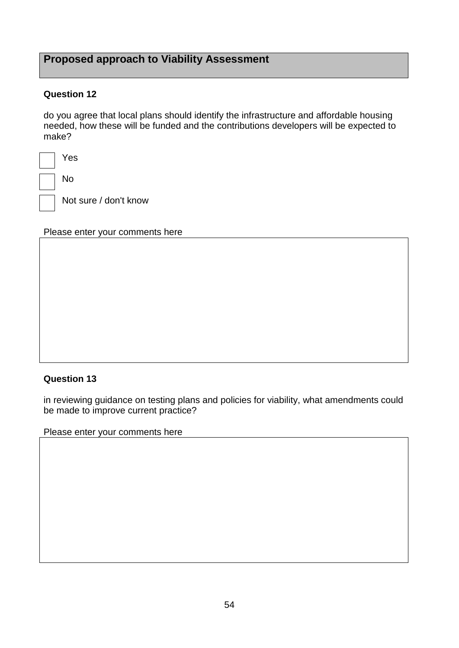## **Proposed approach to Viability Assessment**

### **Question 12**

do you agree that local plans should identify the infrastructure and affordable housing needed, how these will be funded and the contributions developers will be expected to make?

| Yes   |
|-------|
| No    |
| Not s |

Not sure / don't know

Please enter your comments here

#### **Question 13**

in reviewing guidance on testing plans and policies for viability, what amendments could be made to improve current practice?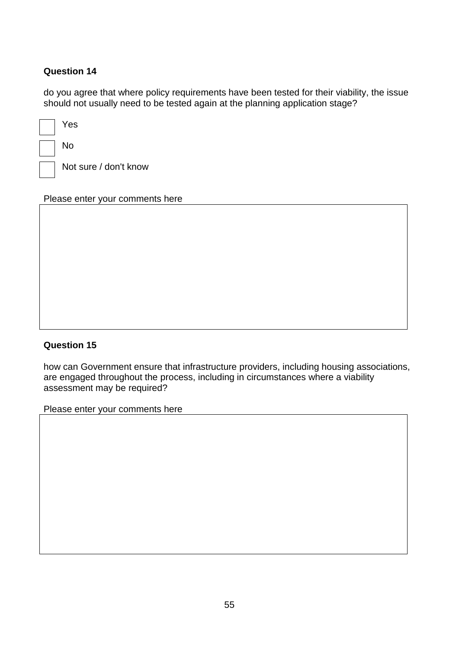### **Question 14**

do you agree that where policy requirements have been tested for their viability, the issue should not usually need to be tested again at the planning application stage?

| Yes                   |
|-----------------------|
| N٥                    |
| Not sure / don't know |

Please enter your comments here

#### **Question 15**

how can Government ensure that infrastructure providers, including housing associations, are engaged throughout the process, including in circumstances where a viability assessment may be required?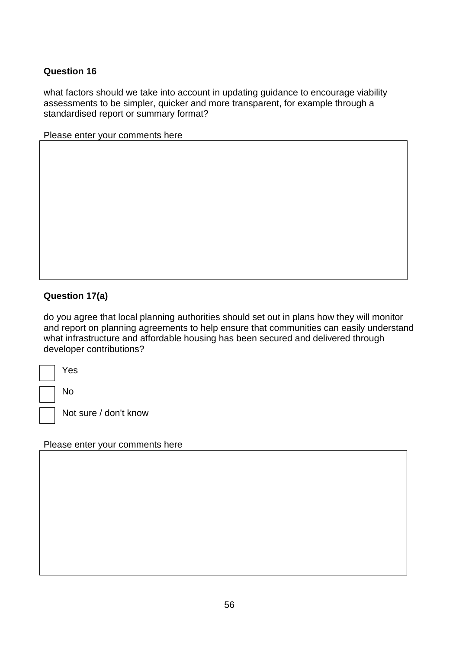#### **Question 16**

what factors should we take into account in updating guidance to encourage viability assessments to be simpler, quicker and more transparent, for example through a standardised report or summary format?

|  | Please enter your comments here |  |
|--|---------------------------------|--|
|--|---------------------------------|--|

### **Question 17(a)**

do you agree that local planning authorities should set out in plans how they will monitor and report on planning agreements to help ensure that communities can easily understand what infrastructure and affordable housing has been secured and delivered through developer contributions?

| Yes |
|-----|
| No  |

Not sure / don't know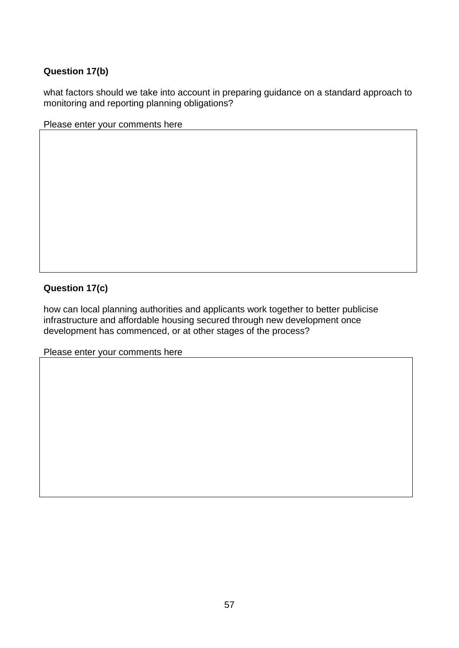### **Question 17(b)**

what factors should we take into account in preparing guidance on a standard approach to monitoring and reporting planning obligations?

Please enter your comments here

### **Question 17(c)**

how can local planning authorities and applicants work together to better publicise infrastructure and affordable housing secured through new development once development has commenced, or at other stages of the process?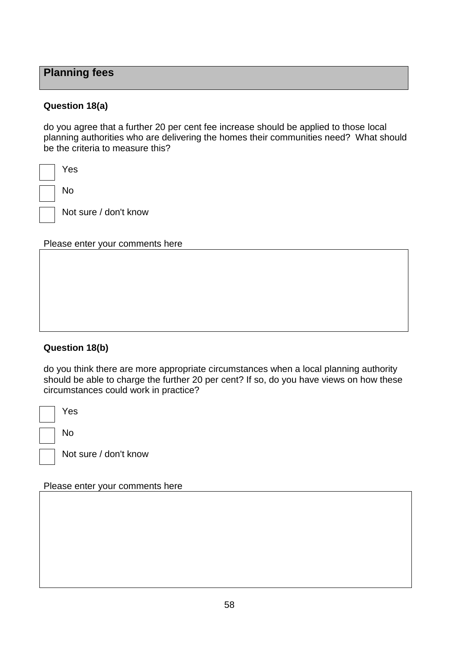## **Planning fees**

#### **Question 18(a)**

do you agree that a further 20 per cent fee increase should be applied to those local planning authorities who are delivering the homes their communities need? What should be the criteria to measure this?

| Yes                   |
|-----------------------|
| No                    |
| Not sure / don't know |

#### Please enter your comments here

#### **Question 18(b)**

do you think there are more appropriate circumstances when a local planning authority should be able to charge the further 20 per cent? If so, do you have views on how these circumstances could work in practice?

Yes

No

Not sure / don't know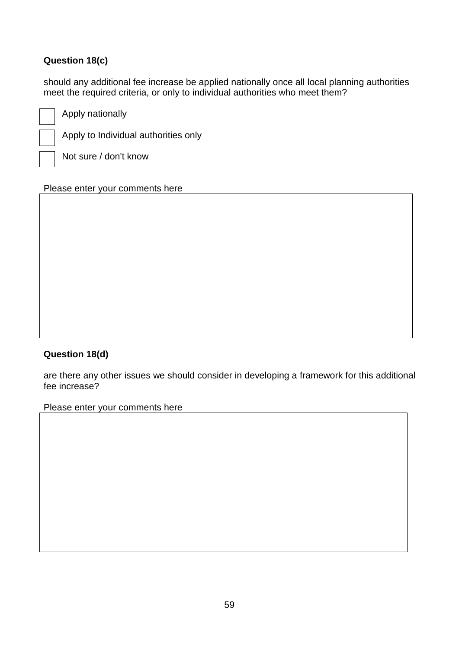## **Question 18(c)**

should any additional fee increase be applied nationally once all local planning authorities meet the required criteria, or only to individual authorities who meet them?

Apply nationally

Apply to Individual authorities only

Not sure / don't know

Please enter your comments here

### **Question 18(d)**

are there any other issues we should consider in developing a framework for this additional fee increase?